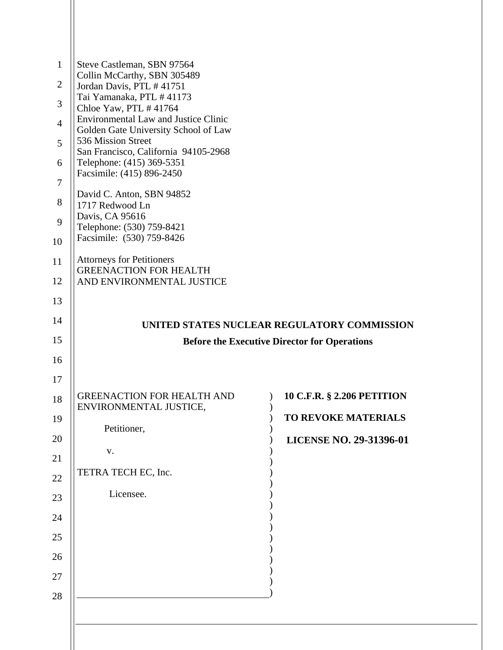| $\mathbf{1}$<br>$\mathbf{2}$<br>3<br>$\overline{4}$<br>5<br>6<br>$\tau$<br>8<br>9<br>10 | Steve Castleman, SBN 97564<br>Collin McCarthy, SBN 305489<br>Jordan Davis, PTL #41751<br>Tai Yamanaka, PTL #41173<br>Chloe Yaw, PTL #41764<br><b>Environmental Law and Justice Clinic</b><br>Golden Gate University School of Law<br>536 Mission Street<br>San Francisco, California 94105-2968<br>Telephone: (415) 369-5351<br>Facsimile: (415) 896-2450<br>David C. Anton, SBN 94852<br>1717 Redwood Ln<br>Davis, CA 95616<br>Telephone: (530) 759-8421<br>Facsimile: (530) 759-8426 |                                                                                                    |
|-----------------------------------------------------------------------------------------|----------------------------------------------------------------------------------------------------------------------------------------------------------------------------------------------------------------------------------------------------------------------------------------------------------------------------------------------------------------------------------------------------------------------------------------------------------------------------------------|----------------------------------------------------------------------------------------------------|
| 11                                                                                      | <b>Attorneys for Petitioners</b>                                                                                                                                                                                                                                                                                                                                                                                                                                                       |                                                                                                    |
| 12                                                                                      | <b>GREENACTION FOR HEALTH</b><br>AND ENVIRONMENTAL JUSTICE                                                                                                                                                                                                                                                                                                                                                                                                                             |                                                                                                    |
| 13                                                                                      |                                                                                                                                                                                                                                                                                                                                                                                                                                                                                        |                                                                                                    |
|                                                                                         |                                                                                                                                                                                                                                                                                                                                                                                                                                                                                        |                                                                                                    |
| 14                                                                                      |                                                                                                                                                                                                                                                                                                                                                                                                                                                                                        |                                                                                                    |
| 15                                                                                      |                                                                                                                                                                                                                                                                                                                                                                                                                                                                                        | UNITED STATES NUCLEAR REGULATORY COMMISSION<br><b>Before the Executive Director for Operations</b> |
| 16                                                                                      |                                                                                                                                                                                                                                                                                                                                                                                                                                                                                        |                                                                                                    |
| 17                                                                                      |                                                                                                                                                                                                                                                                                                                                                                                                                                                                                        |                                                                                                    |
| 18                                                                                      | <b>GREENACTION FOR HEALTH AND</b>                                                                                                                                                                                                                                                                                                                                                                                                                                                      | <b>10 C.F.R. § 2.206 PETITION</b>                                                                  |
| 19                                                                                      | ENVIRONMENTAL JUSTICE,                                                                                                                                                                                                                                                                                                                                                                                                                                                                 | TO REVOKE MATERIALS                                                                                |
| 20                                                                                      | Petitioner,                                                                                                                                                                                                                                                                                                                                                                                                                                                                            | LICENSE NO. 29-31396-01                                                                            |
| 21                                                                                      | V.                                                                                                                                                                                                                                                                                                                                                                                                                                                                                     |                                                                                                    |
| 22                                                                                      | TETRA TECH EC, Inc.                                                                                                                                                                                                                                                                                                                                                                                                                                                                    |                                                                                                    |
| 23                                                                                      | Licensee.                                                                                                                                                                                                                                                                                                                                                                                                                                                                              |                                                                                                    |
| 24                                                                                      |                                                                                                                                                                                                                                                                                                                                                                                                                                                                                        |                                                                                                    |
| 25                                                                                      |                                                                                                                                                                                                                                                                                                                                                                                                                                                                                        |                                                                                                    |
| 26                                                                                      |                                                                                                                                                                                                                                                                                                                                                                                                                                                                                        |                                                                                                    |
| 27                                                                                      |                                                                                                                                                                                                                                                                                                                                                                                                                                                                                        |                                                                                                    |
| 28                                                                                      |                                                                                                                                                                                                                                                                                                                                                                                                                                                                                        |                                                                                                    |
|                                                                                         |                                                                                                                                                                                                                                                                                                                                                                                                                                                                                        |                                                                                                    |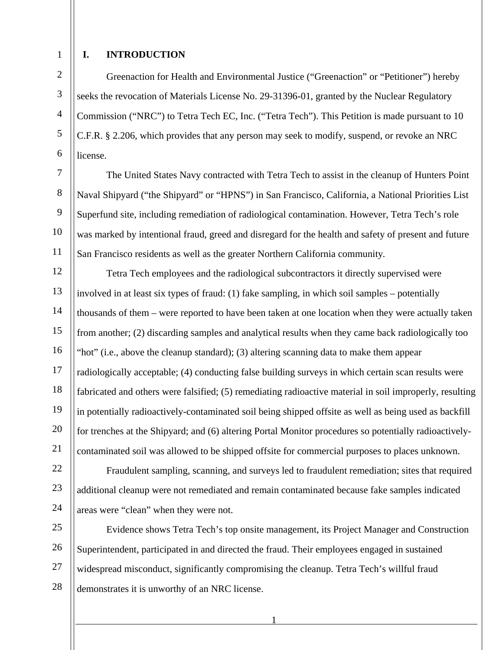2

3

4

5

6

7

8

9

10

11

22

23

24

# **I. INTRODUCTION**

Greenaction for Health and Environmental Justice ("Greenaction" or "Petitioner") hereby seeks the revocation of Materials License No. 29-31396-01, granted by the Nuclear Regulatory Commission ("NRC") to Tetra Tech EC, Inc. ("Tetra Tech"). This Petition is made pursuant to 10 C.F.R. § 2.206, which provides that any person may seek to modify, suspend, or revoke an NRC license.

The United States Navy contracted with Tetra Tech to assist in the cleanup of Hunters Point Naval Shipyard ("the Shipyard" or "HPNS") in San Francisco, California, a National Priorities List Superfund site, including remediation of radiological contamination. However, Tetra Tech's role was marked by intentional fraud, greed and disregard for the health and safety of present and future San Francisco residents as well as the greater Northern California community*.*

12 13 14 15 16 17 18 19 20 21 Tetra Tech employees and the radiological subcontractors it directly supervised were involved in at least six types of fraud: (1) fake sampling, in which soil samples – potentially thousands of them – were reported to have been taken at one location when they were actually taken from another; (2) discarding samples and analytical results when they came back radiologically too "hot" (i.e., above the cleanup standard); (3) altering scanning data to make them appear radiologically acceptable; (4) conducting false building surveys in which certain scan results were fabricated and others were falsified; (5) remediating radioactive material in soil improperly, resulting in potentially radioactively-contaminated soil being shipped offsite as well as being used as backfill for trenches at the Shipyard; and (6) altering Portal Monitor procedures so potentially radioactivelycontaminated soil was allowed to be shipped offsite for commercial purposes to places unknown.

Fraudulent sampling, scanning, and surveys led to fraudulent remediation; sites that required additional cleanup were not remediated and remain contaminated because fake samples indicated areas were "clean" when they were not.

25 26 27 28 Evidence shows Tetra Tech's top onsite management, its Project Manager and Construction Superintendent, participated in and directed the fraud. Their employees engaged in sustained widespread misconduct, significantly compromising the cleanup. Tetra Tech's willful fraud demonstrates it is unworthy of an NRC license.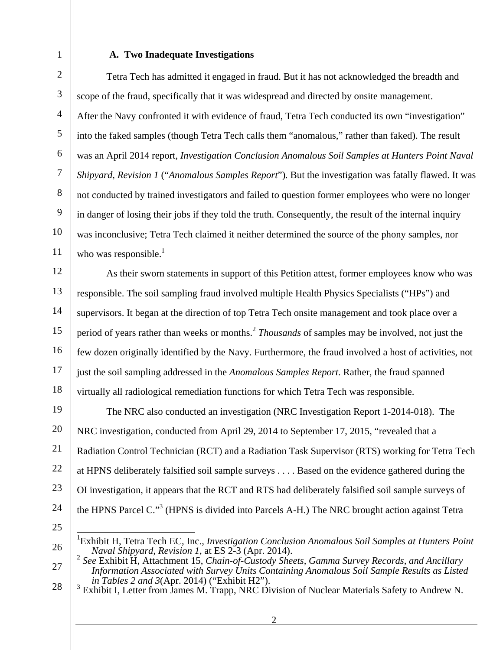2

3

4

5

6

7

8

9

10

11

# **A. Two Inadequate Investigations**

Tetra Tech has admitted it engaged in fraud. But it has not acknowledged the breadth and scope of the fraud, specifically that it was widespread and directed by onsite management. After the Navy confronted it with evidence of fraud, Tetra Tech conducted its own "investigation" into the faked samples (though Tetra Tech calls them "anomalous," rather than faked). The result was an April 2014 report, *Investigation Conclusion Anomalous Soil Samples at Hunters Point Naval Shipyard, Revision 1* ("*Anomalous Samples Report*")*.* But the investigation was fatally flawed. It was not conducted by trained investigators and failed to question former employees who were no longer in danger of losing their jobs if they told the truth. Consequently, the result of the internal inquiry was inconclusive; Tetra Tech claimed it neither determined the source of the phony samples, nor who was responsible. $<sup>1</sup>$ </sup>

12 13 14 15 16 17 18 As their sworn statements in support of this Petition attest, former employees know who was responsible. The soil sampling fraud involved multiple Health Physics Specialists ("HPs") and supervisors. It began at the direction of top Tetra Tech onsite management and took place over a period of years rather than weeks or months.<sup>2</sup> *Thousands* of samples may be involved, not just the few dozen originally identified by the Navy. Furthermore, the fraud involved a host of activities, not just the soil sampling addressed in the *Anomalous Samples Report*. Rather, the fraud spanned virtually all radiological remediation functions for which Tetra Tech was responsible.

19 20 21 22 23 24 The NRC also conducted an investigation (NRC Investigation Report 1-2014-018). The NRC investigation, conducted from April 29, 2014 to September 17, 2015, "revealed that a Radiation Control Technician (RCT) and a Radiation Task Supervisor (RTS) working for Tetra Tech at HPNS deliberately falsified soil sample surveys . . . . Based on the evidence gathered during the OI investigation, it appears that the RCT and RTS had deliberately falsified soil sample surveys of the HPNS Parcel C."<sup>3</sup> (HPNS is divided into Parcels A-H.) The NRC brought action against Tetra

25

 $\overline{1}$ <sup>1</sup> Exhibit H, Tetra Tech EC, Inc., *Investigation Conclusion Anomalous Soil Samples at Hunters Point* 

<sup>27</sup> *Naval Shipyard, Revision 1*, at ES 2-3 (Apr. 2014). 2 *See* Exhibit H, Attachment 15, *Chain-of-Custody Sheets, Gamma Survey Records, and Ancillary Information Associated with Survey Units Containing Anomalous Soil Sample Results as Listed in Tables 2 and 3*(Apr. 2014) ("Exhibit H2"). 3

<sup>28</sup> <sup>3</sup> Exhibit I, Letter from James M. Trapp, NRC Division of Nuclear Materials Safety to Andrew N.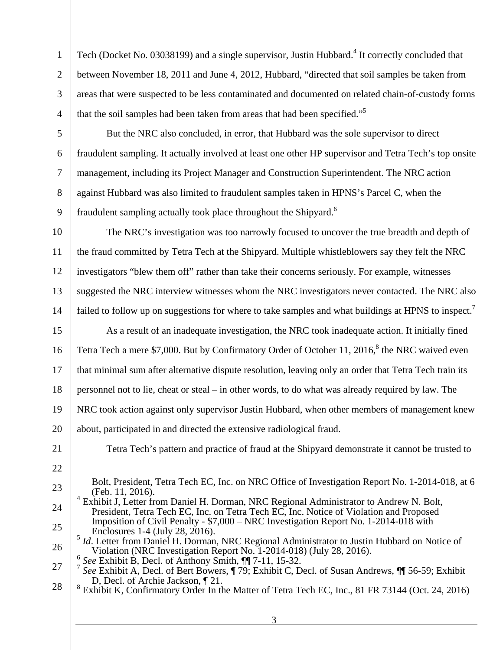4 Tech (Docket No. 03038199) and a single supervisor, Justin Hubbard.<sup>4</sup> It correctly concluded that between November 18, 2011 and June 4, 2012, Hubbard, "directed that soil samples be taken from areas that were suspected to be less contaminated and documented on related chain-of-custody forms that the soil samples had been taken from areas that had been specified.<sup> $,5$ </sup>

5 6 7 8 9 But the NRC also concluded, in error, that Hubbard was the sole supervisor to direct fraudulent sampling. It actually involved at least one other HP supervisor and Tetra Tech's top onsite management, including its Project Manager and Construction Superintendent. The NRC action against Hubbard was also limited to fraudulent samples taken in HPNS's Parcel C, when the fraudulent sampling actually took place throughout the Shipyard.<sup>6</sup>

10 11 12 13 14 The NRC's investigation was too narrowly focused to uncover the true breadth and depth of the fraud committed by Tetra Tech at the Shipyard. Multiple whistleblowers say they felt the NRC investigators "blew them off" rather than take their concerns seriously. For example, witnesses suggested the NRC interview witnesses whom the NRC investigators never contacted. The NRC also failed to follow up on suggestions for where to take samples and what buildings at HPNS to inspect.<sup>7</sup>

15 16 17 18 19 20 As a result of an inadequate investigation, the NRC took inadequate action. It initially fined Tetra Tech a mere \$7,000. But by Confirmatory Order of October 11, 2016,<sup>8</sup> the NRC waived even that minimal sum after alternative dispute resolution, leaving only an order that Tetra Tech train its personnel not to lie, cheat or steal – in other words, to do what was already required by law. The NRC took action against only supervisor Justin Hubbard, when other members of management knew about, participated in and directed the extensive radiological fraud.

21

1

2

3

- 22
- 23
- 24
- 25

Tetra Tech's pattern and practice of fraud at the Shipyard demonstrate it cannot be trusted to

- Bolt, President, Tetra Tech EC, Inc. on NRC Office of Investigation Report No. 1-2014-018, at 6 (Feb. 11, 2016).<br><sup>4</sup> Exhibit J, Letter from Daniel H. Dorman, NRC Regional Administrator to Andrew N. Bolt,
- President, Tetra Tech EC, Inc. on Tetra Tech EC, Inc. Notice of Violation and Proposed Imposition of Civil Penalty - \$7,000 – NRC Investigation Report No. 1-2014-018 with

- 
- 27  $\frac{6}{7}$  See Exhibit B, Decl. of Anthony Smith,  $\P$  7-11, 15-32.<br>  $\frac{6}{7}$  See Exhibit A, Decl. of Bert Bowers,  $\P$  79; Exhibit C, Decl. of Susan Andrews,  $\P$  56-59; Exhibit D, Decl. of Archie Jackson, ¶ 21.
- 28 Exhibit K, Confirmatory Order In the Matter of Tetra Tech EC, Inc., 81 FR 73144 (Oct. 24, 2016)

<sup>26</sup> <sup>5</sup> *Id*. Letter from Daniel H. Dorman, NRC Regional Administrator to Justin Hubbard on Notice of Violation (NRC Investigation Report No. 1-2014-018) (July 28, 2016).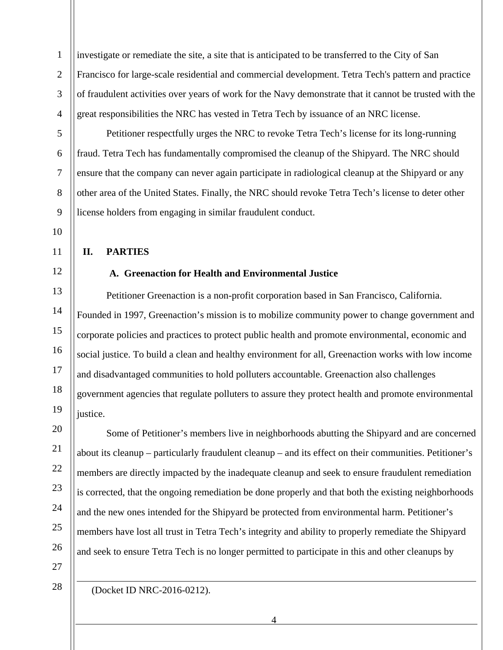2 3 4 investigate or remediate the site, a site that is anticipated to be transferred to the City of San Francisco for large-scale residential and commercial development. Tetra Tech's pattern and practice of fraudulent activities over years of work for the Navy demonstrate that it cannot be trusted with the great responsibilities the NRC has vested in Tetra Tech by issuance of an NRC license.

Petitioner respectfully urges the NRC to revoke Tetra Tech's license for its long-running fraud. Tetra Tech has fundamentally compromised the cleanup of the Shipyard. The NRC should ensure that the company can never again participate in radiological cleanup at the Shipyard or any other area of the United States. Finally, the NRC should revoke Tetra Tech's license to deter other license holders from engaging in similar fraudulent conduct.

10

11

1

5

6

7

8

9

#### **II. PARTIES**

12

## **A. Greenaction for Health and Environmental Justice**

13 14 15 16 17 18 19 Petitioner Greenaction is a non-profit corporation based in San Francisco, California. Founded in 1997, Greenaction's mission is to mobilize community power to change government and corporate policies and practices to protect public health and promote environmental, economic and social justice. To build a clean and healthy environment for all, Greenaction works with low income and disadvantaged communities to hold polluters accountable. Greenaction also challenges government agencies that regulate polluters to assure they protect health and promote environmental justice.

20 21 22 23 24 25 26 Some of Petitioner's members live in neighborhoods abutting the Shipyard and are concerned about its cleanup – particularly fraudulent cleanup – and its effect on their communities. Petitioner's members are directly impacted by the inadequate cleanup and seek to ensure fraudulent remediation is corrected, that the ongoing remediation be done properly and that both the existing neighborhoods and the new ones intended for the Shipyard be protected from environmental harm. Petitioner's members have lost all trust in Tetra Tech's integrity and ability to properly remediate the Shipyard and seek to ensure Tetra Tech is no longer permitted to participate in this and other cleanups by

27

28

<u>.</u>

(Docket ID NRC-2016-0212).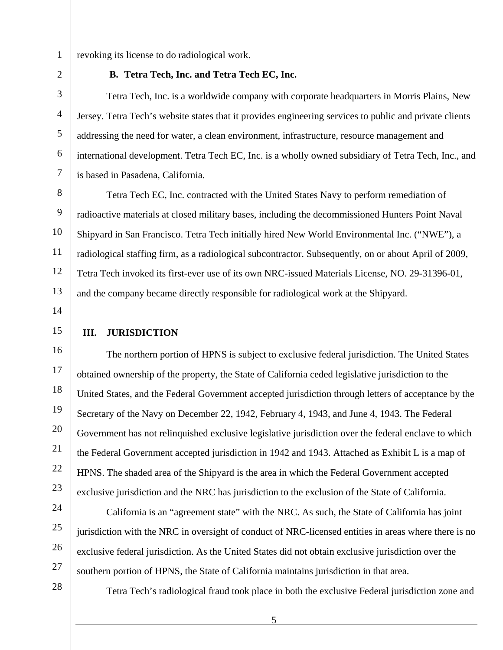2

3

4

5

6

7

8

9

10

11

12

13

revoking its license to do radiological work.

#### **B. Tetra Tech, Inc. and Tetra Tech EC, Inc.**

Tetra Tech, Inc. is a worldwide company with corporate headquarters in Morris Plains, New Jersey. Tetra Tech's website states that it provides engineering services to public and private clients addressing the need for water, a clean environment, infrastructure, resource management and international development. Tetra Tech EC, Inc. is a wholly owned subsidiary of Tetra Tech, Inc., and is based in Pasadena, California.

Tetra Tech EC, Inc. contracted with the United States Navy to perform remediation of radioactive materials at closed military bases, including the decommissioned Hunters Point Naval Shipyard in San Francisco. Tetra Tech initially hired New World Environmental Inc. ("NWE"), a radiological staffing firm, as a radiological subcontractor. Subsequently, on or about April of 2009, Tetra Tech invoked its first-ever use of its own NRC-issued Materials License, NO. 29-31396-01, and the company became directly responsible for radiological work at the Shipyard.

14 15

24

25

26

27

28

# **III. JURISDICTION**

16 17 18 19 20 21 22 23 The northern portion of HPNS is subject to exclusive federal jurisdiction. The United States obtained ownership of the property, the State of California ceded legislative jurisdiction to the United States, and the Federal Government accepted jurisdiction through letters of acceptance by the Secretary of the Navy on December 22, 1942, February 4, 1943, and June 4, 1943. The Federal Government has not relinquished exclusive legislative jurisdiction over the federal enclave to which the Federal Government accepted jurisdiction in 1942 and 1943. Attached as Exhibit L is a map of HPNS. The shaded area of the Shipyard is the area in which the Federal Government accepted exclusive jurisdiction and the NRC has jurisdiction to the exclusion of the State of California.

 California is an "agreement state" with the NRC. As such, the State of California has joint jurisdiction with the NRC in oversight of conduct of NRC-licensed entities in areas where there is no exclusive federal jurisdiction. As the United States did not obtain exclusive jurisdiction over the southern portion of HPNS, the State of California maintains jurisdiction in that area.

Tetra Tech's radiological fraud took place in both the exclusive Federal jurisdiction zone and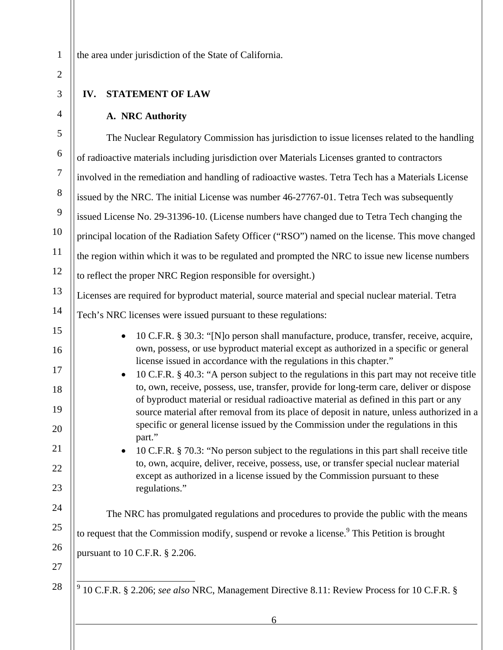the area under jurisdiction of the State of California.

#### **IV. STATEMENT OF LAW**

#### **A. NRC Authority**

6 6 7 8 9 28 The Nuclear Regulatory Commission has jurisdiction to issue licenses related to the handling of radioactive materials including jurisdiction over Materials Licenses granted to contractors involved in the remediation and handling of radioactive wastes. Tetra Tech has a Materials License issued by the NRC. The initial License was number 46-27767-01. Tetra Tech was subsequently issued License No. 29-31396-10. (License numbers have changed due to Tetra Tech changing the principal location of the Radiation Safety Officer ("RSO") named on the license. This move changed the region within which it was to be regulated and prompted the NRC to issue new license numbers to reflect the proper NRC Region responsible for oversight.) Licenses are required for byproduct material, source material and special nuclear material. Tetra Tech's NRC licenses were issued pursuant to these regulations: • 10 C.F.R. § 30.3: "[N]o person shall manufacture, produce, transfer, receive, acquire, own, possess, or use byproduct material except as authorized in a specific or general license issued in accordance with the regulations in this chapter." • 10 C.F.R. § 40.3: "A person subject to the regulations in this part may not receive title to, own, receive, possess, use, transfer, provide for long-term care, deliver or dispose of byproduct material or residual radioactive material as defined in this part or any source material after removal from its place of deposit in nature, unless authorized in a specific or general license issued by the Commission under the regulations in this part." 10 C.F.R. § 70.3: "No person subject to the regulations in this part shall receive title to, own, acquire, deliver, receive, possess, use, or transfer special nuclear material except as authorized in a license issued by the Commission pursuant to these regulations." The NRC has promulgated regulations and procedures to provide the public with the means to request that the Commission modify, suspend or revoke a license.<sup>9</sup> This Petition is brought pursuant to 10 C.F.R. § 2.206. 9 10 C.F.R. § 2.206; *see also* NRC, Management Directive 8.11: Review Process for 10 C.F.R. §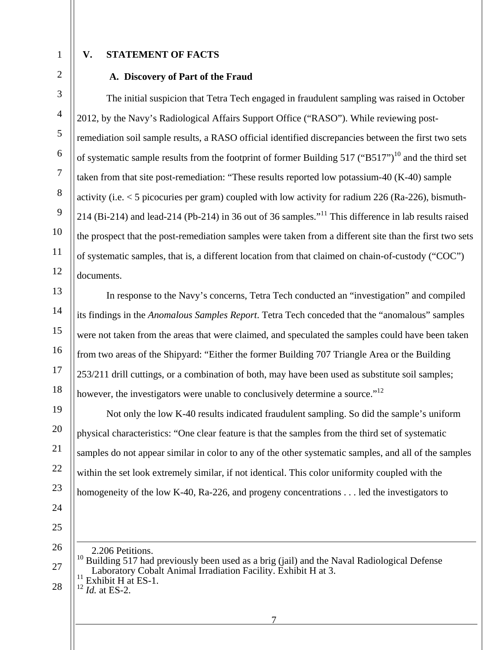2

3

4

5

6

7

8

9

10

11

12

13

14

15

16

17

18

19

20

21

22

23

24

# **V. STATEMENT OF FACTS**

# **A. Discovery of Part of the Fraud**

The initial suspicion that Tetra Tech engaged in fraudulent sampling was raised in October 2012, by the Navy's Radiological Affairs Support Office ("RASO"). While reviewing postremediation soil sample results, a RASO official identified discrepancies between the first two sets of systematic sample results from the footprint of former Building 517 ("B517")<sup>10</sup> and the third set taken from that site post-remediation: "These results reported low potassium-40 (K-40) sample activity (i.e.  $\lt$  5 picocuries per gram) coupled with low activity for radium 226 (Ra-226), bismuth-214 (Bi-214) and lead-214 (Pb-214) in 36 out of 36 samples."<sup>11</sup> This difference in lab results raised the prospect that the post-remediation samples were taken from a different site than the first two sets of systematic samples, that is, a different location from that claimed on chain-of-custody ("COC") documents.

In response to the Navy's concerns, Tetra Tech conducted an "investigation" and compiled its findings in the *Anomalous Samples Report*. Tetra Tech conceded that the "anomalous" samples were not taken from the areas that were claimed, and speculated the samples could have been taken from two areas of the Shipyard: "Either the former Building 707 Triangle Area or the Building 253/211 drill cuttings, or a combination of both, may have been used as substitute soil samples; however, the investigators were unable to conclusively determine a source."<sup>12</sup>

Not only the low K-40 results indicated fraudulent sampling. So did the sample's uniform physical characteristics: "One clear feature is that the samples from the third set of systematic samples do not appear similar in color to any of the other systematic samples, and all of the samples within the set look extremely similar, if not identical. This color uniformity coupled with the homogeneity of the low K-40, Ra-226, and progeny concentrations . . . led the investigators to

25

<u>.</u>

26

27

28

2.206 Petitions.

 $10$  Building 517 had previously been used as a brig (jail) and the Naval Radiological Defense Laboratory Cobalt Animal Irradiation Facility. Exhibit H at 3.<br>Exhibit H at ES-1.

<sup>12</sup> *Id.* at ES-2.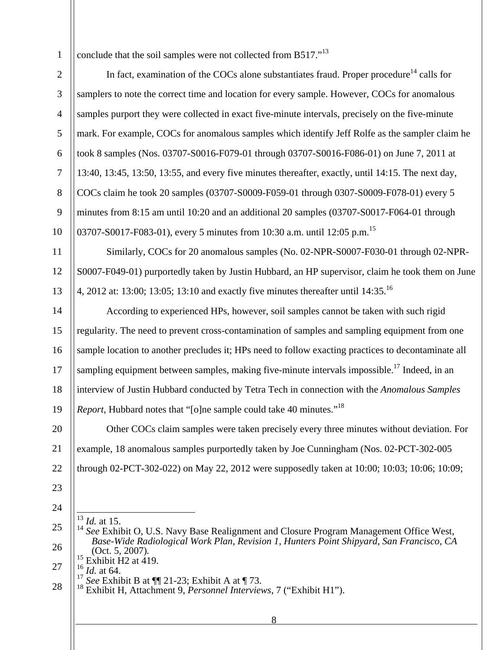1 conclude that the soil samples were not collected from B517."<sup>13</sup>

2 3 4 5 6 7 8 9 10 In fact, examination of the COCs alone substantiates fraud. Proper procedure<sup>14</sup> calls for samplers to note the correct time and location for every sample. However, COCs for anomalous samples purport they were collected in exact five-minute intervals, precisely on the five-minute mark. For example, COCs for anomalous samples which identify Jeff Rolfe as the sampler claim he took 8 samples (Nos. 03707-S0016-F079-01 through 03707-S0016-F086-01) on June 7, 2011 at 13:40, 13:45, 13:50, 13:55, and every five minutes thereafter, exactly, until 14:15. The next day, COCs claim he took 20 samples (03707-S0009-F059-01 through 0307-S0009-F078-01) every 5 minutes from 8:15 am until 10:20 and an additional 20 samples (03707-S0017-F064-01 through 03707-S0017-F083-01), every 5 minutes from 10:30 a.m. until 12:05 p.m.<sup>15</sup>

11 12 13 Similarly, COCs for 20 anomalous samples (No. 02-NPR-S0007-F030-01 through 02-NPR-S0007-F049-01) purportedly taken by Justin Hubbard, an HP supervisor, claim he took them on June 4, 2012 at: 13:00; 13:05; 13:10 and exactly five minutes thereafter until 14:35.16

14 15 16 17 18 19 According to experienced HPs, however, soil samples cannot be taken with such rigid regularity. The need to prevent cross-contamination of samples and sampling equipment from one sample location to another precludes it; HPs need to follow exacting practices to decontaminate all sampling equipment between samples, making five-minute intervals impossible.<sup>17</sup> Indeed, in an interview of Justin Hubbard conducted by Tetra Tech in connection with the *Anomalous Samples Report*, Hubbard notes that "[o]ne sample could take 40 minutes."<sup>18</sup>

20 21 22 Other COCs claim samples were taken precisely every three minutes without deviation. For example, 18 anomalous samples purportedly taken by Joe Cunningham (Nos. 02-PCT-302-005 through 02-PCT-302-022) on May 22, 2012 were supposedly taken at 10:00; 10:03; 10:06; 10:09;

23 24

 $\overline{1}$ 

25

26

27

 $\frac{13}{14}$ *Id.* at 15. <sup>14</sup> See Exhibit O, U.S. Navy Base Realignment and Closure Program Management Office West, *Base-Wide Radiological Work Plan, Revision 1, Hunters Point Shipyard, San Francisco, CA* <sup>15</sup> Exhibit H<sub>2</sub> at 419.

<sup>28</sup> *Id.* at 64.<br>*See* Exhibit B at 11 21-23; Exhibit A at 173.

Exhibit H, Attachment 9, *Personnel Interviews*, 7 ("Exhibit H1").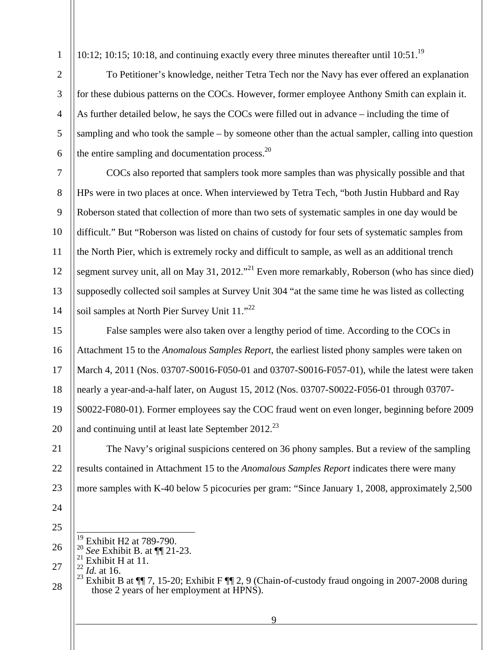10:12; 10:15; 10:18, and continuing exactly every three minutes thereafter until  $10:51$ .<sup>19</sup>

To Petitioner's knowledge, neither Tetra Tech nor the Navy has ever offered an explanation for these dubious patterns on the COCs. However, former employee Anthony Smith can explain it. As further detailed below, he says the COCs were filled out in advance – including the time of sampling and who took the sample – by someone other than the actual sampler, calling into question the entire sampling and documentation process. $^{20}$ 

7 8 9 10 11 12 13 14 COCs also reported that samplers took more samples than was physically possible and that HPs were in two places at once. When interviewed by Tetra Tech, "both Justin Hubbard and Ray Roberson stated that collection of more than two sets of systematic samples in one day would be difficult." But "Roberson was listed on chains of custody for four sets of systematic samples from the North Pier, which is extremely rocky and difficult to sample, as well as an additional trench segment survey unit, all on May 31, 2012."<sup>21</sup> Even more remarkably, Roberson (who has since died) supposedly collected soil samples at Survey Unit 304 "at the same time he was listed as collecting soil samples at North Pier Survey Unit 11."<sup>22</sup>

15 16 17 18 19 20 False samples were also taken over a lengthy period of time. According to the COCs in Attachment 15 to the *Anomalous Samples Report*, the earliest listed phony samples were taken on March 4, 2011 (Nos. 03707-S0016-F050-01 and 03707-S0016-F057-01), while the latest were taken nearly a year-and-a-half later, on August 15, 2012 (Nos. 03707-S0022-F056-01 through 03707- S0022-F080-01). Former employees say the COC fraud went on even longer, beginning before 2009 and continuing until at least late September  $2012^{23}$ 

21 22 23 The Navy's original suspicions centered on 36 phony samples. But a review of the sampling results contained in Attachment 15 to the *Anomalous Samples Report* indicates there were many more samples with K-40 below 5 picocuries per gram: "Since January 1, 2008, approximately 2,500

- $\overline{1}$ Exhibit H2 at 789-790.
- 26 <sup>20</sup> *See* Exhibit B. at **[1]** 21-23.<br><sup>21</sup> Exhibit H at 11.
- 27
	- $^{22}_{23}$  *Id.* at 16.

24

25

1

2

3

4

5

<sup>28</sup> Exhibit B at  $\P$  7, 15-20; Exhibit F  $\P$  2, 9 (Chain-of-custody fraud ongoing in 2007-2008 during those 2 years of her employment at HPNS).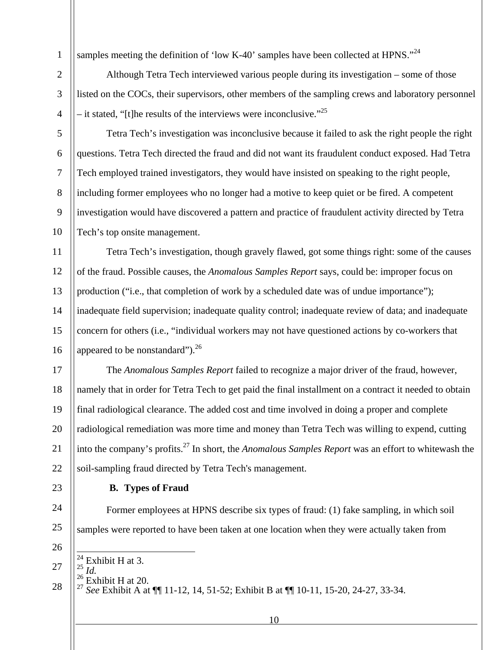2

3

4

5

6

7

8

9

10

samples meeting the definition of 'low K-40' samples have been collected at HPNS."<sup>24</sup>

Although Tetra Tech interviewed various people during its investigation – some of those listed on the COCs, their supervisors, other members of the sampling crews and laboratory personnel – it stated, "[t]he results of the interviews were inconclusive."<sup>25</sup>

Tetra Tech's investigation was inconclusive because it failed to ask the right people the right questions. Tetra Tech directed the fraud and did not want its fraudulent conduct exposed. Had Tetra Tech employed trained investigators, they would have insisted on speaking to the right people, including former employees who no longer had a motive to keep quiet or be fired. A competent investigation would have discovered a pattern and practice of fraudulent activity directed by Tetra Tech's top onsite management.

11 12 13 14 15 16 Tetra Tech's investigation, though gravely flawed, got some things right: some of the causes of the fraud. Possible causes, the *Anomalous Samples Report* says, could be: improper focus on production ("i.e., that completion of work by a scheduled date was of undue importance"); inadequate field supervision; inadequate quality control; inadequate review of data; and inadequate concern for others (i.e., "individual workers may not have questioned actions by co-workers that appeared to be nonstandard"). $^{26}$ 

17 18 19 20 21 22 The *Anomalous Samples Report* failed to recognize a major driver of the fraud, however, namely that in order for Tetra Tech to get paid the final installment on a contract it needed to obtain final radiological clearance. The added cost and time involved in doing a proper and complete radiological remediation was more time and money than Tetra Tech was willing to expend, cutting into the company's profits.27 In short, the *Anomalous Samples Report* was an effort to whitewash the soil-sampling fraud directed by Tetra Tech's management.

23

#### **B. Types of Fraud**

24 25 Former employees at HPNS describe six types of fraud: (1) fake sampling, in which soil samples were reported to have been taken at one location when they were actually taken from

26

27  $\overline{a}$ 

- $^{24}_{\sim}$  Exhibit H at 3. *Id.*
- 28  $26$  Exhibit H at 20.

<sup>27</sup> *See* Exhibit A at ¶¶ 11-12, 14, 51-52; Exhibit B at ¶¶ 10-11, 15-20, 24-27, 33-34.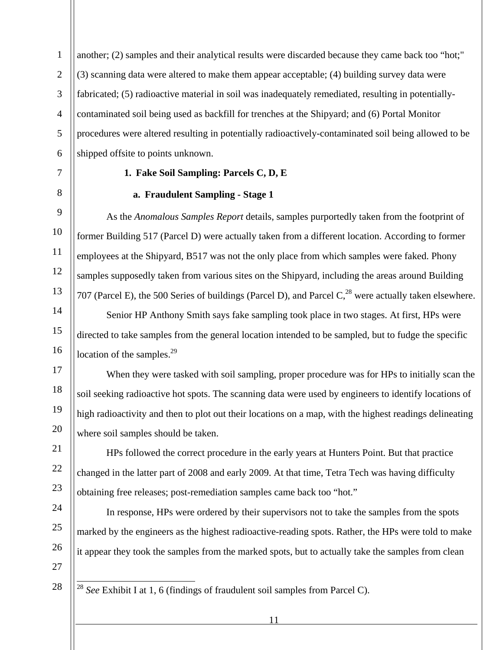1 2 3 4 5 6 another; (2) samples and their analytical results were discarded because they came back too "hot;" (3) scanning data were altered to make them appear acceptable; (4) building survey data were fabricated; (5) radioactive material in soil was inadequately remediated, resulting in potentiallycontaminated soil being used as backfill for trenches at the Shipyard; and (6) Portal Monitor procedures were altered resulting in potentially radioactively-contaminated soil being allowed to be shipped offsite to points unknown.

#### **1. Fake Soil Sampling: Parcels C, D, E**

#### **a. Fraudulent Sampling - Stage 1**

As the *Anomalous Samples Report* details, samples purportedly taken from the footprint of former Building 517 (Parcel D) were actually taken from a different location. According to former employees at the Shipyard, B517 was not the only place from which samples were faked. Phony samples supposedly taken from various sites on the Shipyard, including the areas around Building 707 (Parcel E), the 500 Series of buildings (Parcel D), and Parcel  $C<sub>1</sub><sup>28</sup>$  were actually taken elsewhere.

Senior HP Anthony Smith says fake sampling took place in two stages. At first, HPs were directed to take samples from the general location intended to be sampled, but to fudge the specific location of the samples. $2^9$ 

When they were tasked with soil sampling, proper procedure was for HPs to initially scan the soil seeking radioactive hot spots. The scanning data were used by engineers to identify locations of high radioactivity and then to plot out their locations on a map, with the highest readings delineating where soil samples should be taken.

HPs followed the correct procedure in the early years at Hunters Point. But that practice changed in the latter part of 2008 and early 2009. At that time, Tetra Tech was having difficulty obtaining free releases; post-remediation samples came back too "hot."

In response, HPs were ordered by their supervisors not to take the samples from the spots marked by the engineers as the highest radioactive-reading spots. Rather, the HPs were told to make it appear they took the samples from the marked spots, but to actually take the samples from clean

27 28

 $\overline{a}$ 

7

8

9

10

11

12

13

14

15

16

17

18

19

20

21

22

23

24

25

<sup>28</sup> *See* Exhibit I at 1, 6 (findings of fraudulent soil samples from Parcel C).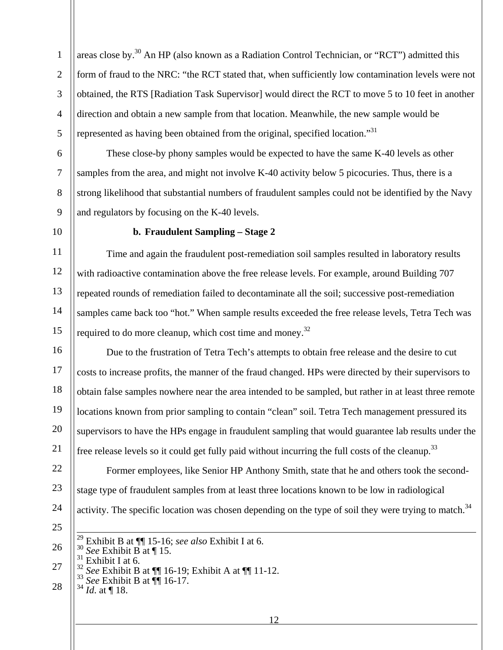1 2 3 4 5 areas close by.<sup>30</sup> An HP (also known as a Radiation Control Technician, or "RCT") admitted this form of fraud to the NRC: "the RCT stated that, when sufficiently low contamination levels were not obtained, the RTS [Radiation Task Supervisor] would direct the RCT to move 5 to 10 feet in another direction and obtain a new sample from that location. Meanwhile, the new sample would be represented as having been obtained from the original, specified location."<sup>31</sup>

These close-by phony samples would be expected to have the same K-40 levels as other samples from the area, and might not involve K-40 activity below 5 picocuries. Thus, there is a strong likelihood that substantial numbers of fraudulent samples could not be identified by the Navy and regulators by focusing on the K-40 levels.

10

6

7

8

9

## **b. Fraudulent Sampling – Stage 2**

11 12 13 14 15 Time and again the fraudulent post-remediation soil samples resulted in laboratory results with radioactive contamination above the free release levels. For example, around Building 707 repeated rounds of remediation failed to decontaminate all the soil; successive post-remediation samples came back too "hot." When sample results exceeded the free release levels, Tetra Tech was required to do more cleanup, which cost time and money.<sup>32</sup>

16 17 18 19 20 21 Due to the frustration of Tetra Tech's attempts to obtain free release and the desire to cut costs to increase profits, the manner of the fraud changed. HPs were directed by their supervisors to obtain false samples nowhere near the area intended to be sampled, but rather in at least three remote locations known from prior sampling to contain "clean" soil. Tetra Tech management pressured its supervisors to have the HPs engage in fraudulent sampling that would guarantee lab results under the free release levels so it could get fully paid without incurring the full costs of the cleanup.<sup>33</sup>

22 23 24 Former employees, like Senior HP Anthony Smith, state that he and others took the secondstage type of fraudulent samples from at least three locations known to be low in radiological activity. The specific location was chosen depending on the type of soil they were trying to match.<sup>34</sup>

- 25
- 26 27 29 Exhibit B at ¶¶ 15-16; *see also* Exhibit I at 6.  $\frac{30}{31}$  *See* Exhibit B<sup>"</sup> at ¶ 15.<br><sup>31</sup> Exhibit I at 6. <sup>32</sup> *See* Exhibit B at ¶¶ 16-19; Exhibit A at ¶¶ 11-12. 33 *See* Exhibit B at ¶¶ 16-17. 34 *Id*. at ¶ 18.
- 28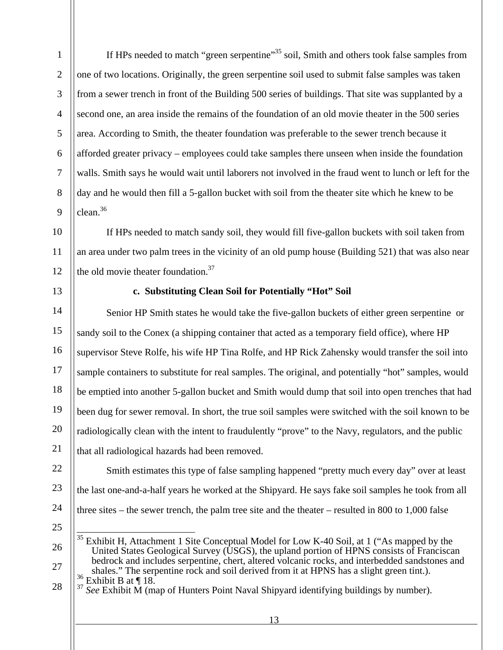If HPs needed to match "green serpentine"<sup>35</sup> soil, Smith and others took false samples from one of two locations. Originally, the green serpentine soil used to submit false samples was taken from a sewer trench in front of the Building 500 series of buildings. That site was supplanted by a second one, an area inside the remains of the foundation of an old movie theater in the 500 series area. According to Smith, the theater foundation was preferable to the sewer trench because it afforded greater privacy – employees could take samples there unseen when inside the foundation walls. Smith says he would wait until laborers not involved in the fraud went to lunch or left for the day and he would then fill a 5-gallon bucket with soil from the theater site which he knew to be clean.36

10 11 12 If HPs needed to match sandy soil, they would fill five-gallon buckets with soil taken from an area under two palm trees in the vicinity of an old pump house (Building 521) that was also near the old movie theater foundation.<sup>37</sup>

13

1

2

3

4

5

6

7

8

9

#### **c. Substituting Clean Soil for Potentially "Hot" Soil**

14 15 16 17 18 19 20 21 Senior HP Smith states he would take the five-gallon buckets of either green serpentine or sandy soil to the Conex (a shipping container that acted as a temporary field office), where HP supervisor Steve Rolfe, his wife HP Tina Rolfe, and HP Rick Zahensky would transfer the soil into sample containers to substitute for real samples. The original, and potentially "hot" samples, would be emptied into another 5-gallon bucket and Smith would dump that soil into open trenches that had been dug for sewer removal. In short, the true soil samples were switched with the soil known to be radiologically clean with the intent to fraudulently "prove" to the Navy, regulators, and the public that all radiological hazards had been removed.

22 23

Smith estimates this type of false sampling happened "pretty much every day" over at least the last one-and-a-half years he worked at the Shipyard. He says fake soil samples he took from all three sites – the sewer trench, the palm tree site and the theater – resulted in 800 to 1,000 false

25

26

27

24

 $\overline{a}$  $35$  Exhibit H, Attachment 1 Site Conceptual Model for Low K-40 Soil, at 1 ("As mapped by the United States Geological Survey (USGS), the upland portion of HPNS consists of Franciscan bedrock and includes serpentine, chert, altered volcanic rocks, and interbedded sandstones and shales." The serpentine rock and soil derived from it at HPNS has a slight green tint.).

<sup>28</sup> <sup>36</sup> Exhibit B at ¶ 18.<br><sup>37</sup> *See* Exhibit M (map of Hunters Point Naval Shipyard identifying buildings by number).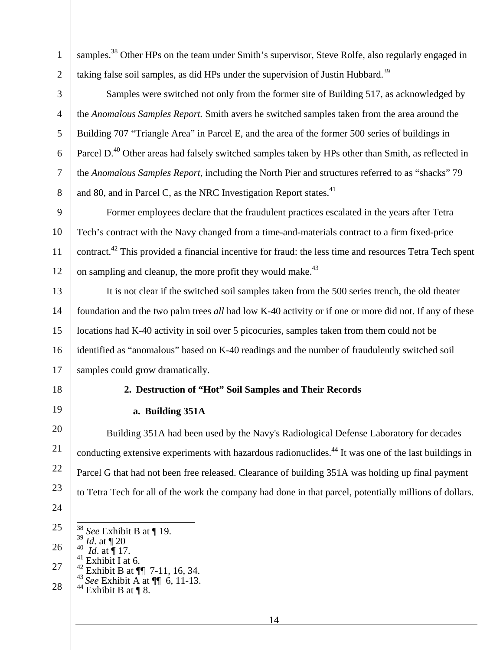samples.<sup>38</sup> Other HPs on the team under Smith's supervisor, Steve Rolfe, also regularly engaged in taking false soil samples, as did HPs under the supervision of Justin Hubbard.<sup>39</sup>

Samples were switched not only from the former site of Building 517, as acknowledged by the *Anomalous Samples Report.* Smith avers he switched samples taken from the area around the Building 707 "Triangle Area" in Parcel E, and the area of the former 500 series of buildings in Parcel D.<sup>40</sup> Other areas had falsely switched samples taken by HPs other than Smith, as reflected in the *Anomalous Samples Report*, including the North Pier and structures referred to as "shacks" 79 and 80, and in Parcel C, as the NRC Investigation Report states. $41$ 

9 10 11 12 Former employees declare that the fraudulent practices escalated in the years after Tetra Tech's contract with the Navy changed from a time-and-materials contract to a firm fixed-price contract.<sup>42</sup> This provided a financial incentive for fraud: the less time and resources Tetra Tech spent on sampling and cleanup, the more profit they would make. $43$ 

13 14 15 16 17 It is not clear if the switched soil samples taken from the 500 series trench, the old theater foundation and the two palm trees *all* had low K-40 activity or if one or more did not. If any of these locations had K-40 activity in soil over 5 picocuries, samples taken from them could not be identified as "anomalous" based on K-40 readings and the number of fraudulently switched soil samples could grow dramatically.

18

19

21

23

24

1

2

3

4

5

6

7

8

# **2. Destruction of "Hot" Soil Samples and Their Records**

#### **a. Building 351A**

20 22 Building 351A had been used by the Navy's Radiological Defense Laboratory for decades conducting extensive experiments with hazardous radionuclides.<sup>44</sup> It was one of the last buildings in Parcel G that had not been free released. Clearance of building 351A was holding up final payment to Tetra Tech for all of the work the company had done in that parcel, potentially millions of dollars.

25 26 27 28  $\overline{a}$ *See* Exhibit B at ¶ 19.<br> *Id.* at ¶ 20<br> *Id.* at ¶ 17.<br>
Exhibit I at 6.<br>
Exhibit B at ¶ 7-11, 16, 34. See Exhibit A at  $\P\P$  6, 11-13.<br>Exhibit B at  $\P$  8.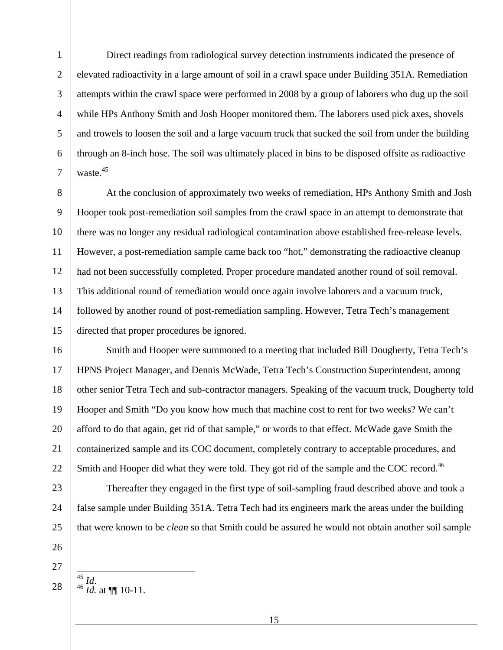4 5 6 7 Direct readings from radiological survey detection instruments indicated the presence of elevated radioactivity in a large amount of soil in a crawl space under Building 351A. Remediation attempts within the crawl space were performed in 2008 by a group of laborers who dug up the soil while HPs Anthony Smith and Josh Hooper monitored them. The laborers used pick axes, shovels and trowels to loosen the soil and a large vacuum truck that sucked the soil from under the building through an 8-inch hose. The soil was ultimately placed in bins to be disposed offsite as radioactive waste.<sup>45</sup>

8 9 10 11 12 13 14 15 At the conclusion of approximately two weeks of remediation, HPs Anthony Smith and Josh Hooper took post-remediation soil samples from the crawl space in an attempt to demonstrate that there was no longer any residual radiological contamination above established free-release levels. However, a post-remediation sample came back too "hot," demonstrating the radioactive cleanup had not been successfully completed. Proper procedure mandated another round of soil removal. This additional round of remediation would once again involve laborers and a vacuum truck, followed by another round of post-remediation sampling. However, Tetra Tech's management directed that proper procedures be ignored.

16 17 18 19 20 21 22 Smith and Hooper were summoned to a meeting that included Bill Dougherty, Tetra Tech's HPNS Project Manager, and Dennis McWade, Tetra Tech's Construction Superintendent, among other senior Tetra Tech and sub-contractor managers. Speaking of the vacuum truck, Dougherty told Hooper and Smith "Do you know how much that machine cost to rent for two weeks? We can't afford to do that again, get rid of that sample," or words to that effect. McWade gave Smith the containerized sample and its COC document, completely contrary to acceptable procedures, and Smith and Hooper did what they were told. They got rid of the sample and the COC record.<sup>46</sup>

23 24 25 Thereafter they engaged in the first type of soil-sampling fraud described above and took a false sample under Building 351A. Tetra Tech had its engineers mark the areas under the building that were known to be *clean* so that Smith could be assured he would not obtain another soil sample

27

26

1

2

3

28  $\overline{\frac{45}{}}$ Id. <sup>45</sup> *Id*. 46 *Id.* at ¶¶ 10-11.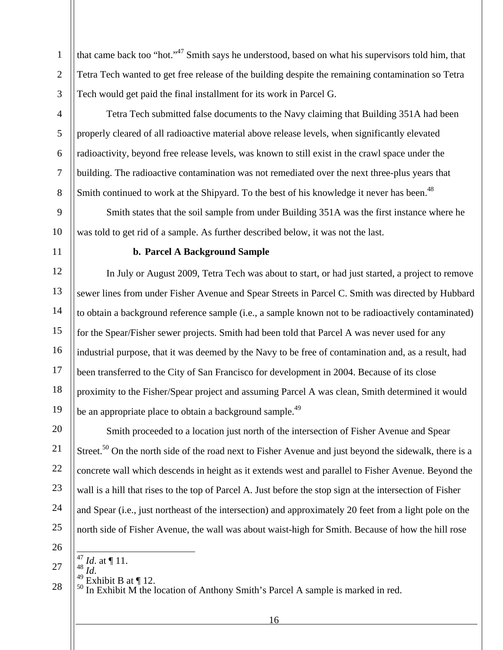that came back too "hot."47 Smith says he understood, based on what his supervisors told him, that Tetra Tech wanted to get free release of the building despite the remaining contamination so Tetra Tech would get paid the final installment for its work in Parcel G.

Tetra Tech submitted false documents to the Navy claiming that Building 351A had been properly cleared of all radioactive material above release levels, when significantly elevated radioactivity, beyond free release levels, was known to still exist in the crawl space under the building. The radioactive contamination was not remediated over the next three-plus years that Smith continued to work at the Shipyard. To the best of his knowledge it never has been.<sup>48</sup>

9 10 Smith states that the soil sample from under Building 351A was the first instance where he was told to get rid of a sample. As further described below, it was not the last.

11

1

2

3

4

5

6

7

8

#### **b. Parcel A Background Sample**

12 13 14 15 16 17 18 19 In July or August 2009, Tetra Tech was about to start, or had just started, a project to remove sewer lines from under Fisher Avenue and Spear Streets in Parcel C. Smith was directed by Hubbard to obtain a background reference sample (i.e., a sample known not to be radioactively contaminated) for the Spear/Fisher sewer projects. Smith had been told that Parcel A was never used for any industrial purpose, that it was deemed by the Navy to be free of contamination and, as a result, had been transferred to the City of San Francisco for development in 2004. Because of its close proximity to the Fisher/Spear project and assuming Parcel A was clean, Smith determined it would be an appropriate place to obtain a background sample.<sup>49</sup>

20 21 22 23 24 25 Smith proceeded to a location just north of the intersection of Fisher Avenue and Spear Street.<sup>50</sup> On the north side of the road next to Fisher Avenue and just beyond the sidewalk, there is a concrete wall which descends in height as it extends west and parallel to Fisher Avenue. Beyond the wall is a hill that rises to the top of Parcel A. Just before the stop sign at the intersection of Fisher and Spear (i.e., just northeast of the intersection) and approximately 20 feet from a light pole on the north side of Fisher Avenue, the wall was about waist-high for Smith. Because of how the hill rose

26

 $\overline{47}$  *Id.* at  $\P$  11.

27

28

*Id.* Exhibit B at ¶ 12. <br>In Exhibit M the location of Anthony Smith's Parcel A sample is marked in red.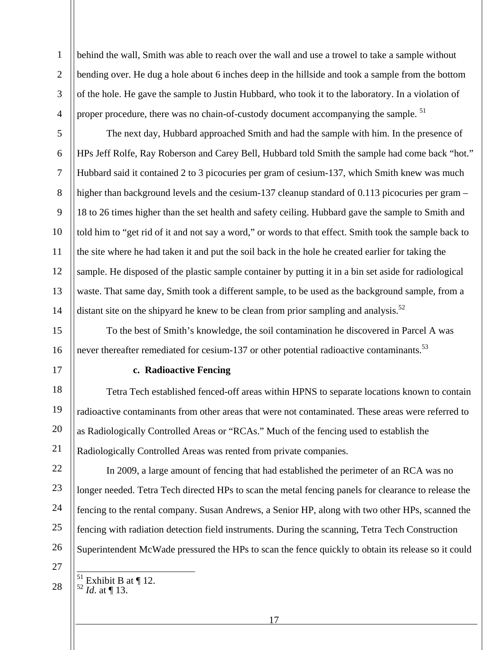behind the wall, Smith was able to reach over the wall and use a trowel to take a sample without bending over. He dug a hole about 6 inches deep in the hillside and took a sample from the bottom of the hole. He gave the sample to Justin Hubbard, who took it to the laboratory. In a violation of proper procedure, there was no chain-of-custody document accompanying the sample.<sup>51</sup>

5 6 7 8 9 10 11 12 13 14 The next day, Hubbard approached Smith and had the sample with him. In the presence of HPs Jeff Rolfe, Ray Roberson and Carey Bell, Hubbard told Smith the sample had come back "hot." Hubbard said it contained 2 to 3 picocuries per gram of cesium-137, which Smith knew was much higher than background levels and the cesium-137 cleanup standard of 0.113 picocuries per gram – 18 to 26 times higher than the set health and safety ceiling. Hubbard gave the sample to Smith and told him to "get rid of it and not say a word," or words to that effect. Smith took the sample back to the site where he had taken it and put the soil back in the hole he created earlier for taking the sample. He disposed of the plastic sample container by putting it in a bin set aside for radiological waste. That same day, Smith took a different sample, to be used as the background sample, from a distant site on the shipyard he knew to be clean from prior sampling and analysis.<sup>52</sup>

15 16 To the best of Smith's knowledge, the soil contamination he discovered in Parcel A was never thereafter remediated for cesium-137 or other potential radioactive contaminants.<sup>53</sup>

17

1

2

3

4

#### **c. Radioactive Fencing**

18 19 20 21 Tetra Tech established fenced-off areas within HPNS to separate locations known to contain radioactive contaminants from other areas that were not contaminated. These areas were referred to as Radiologically Controlled Areas or "RCAs." Much of the fencing used to establish the Radiologically Controlled Areas was rented from private companies.

22 23 24 25 26 In 2009, a large amount of fencing that had established the perimeter of an RCA was no longer needed. Tetra Tech directed HPs to scan the metal fencing panels for clearance to release the fencing to the rental company. Susan Andrews, a Senior HP, along with two other HPs, scanned the fencing with radiation detection field instruments. During the scanning, Tetra Tech Construction Superintendent McWade pressured the HPs to scan the fence quickly to obtain its release so it could

27

28

 $\overline{a}$ 51 Exhibit B at ¶ 12. 52 *Id*. at ¶ 13.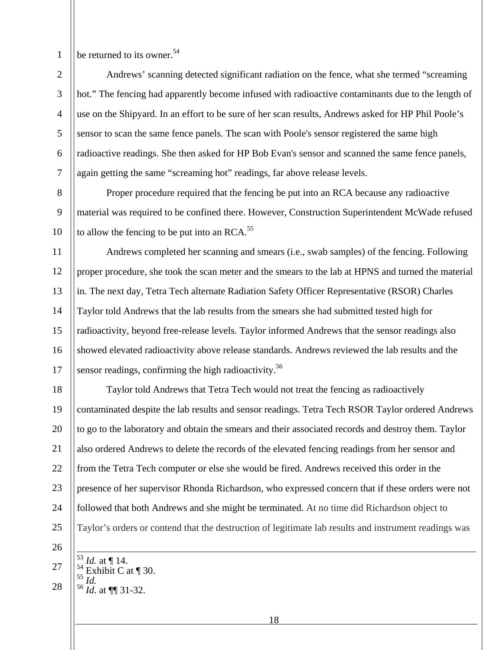2

3

4

5

6

7

8

9

10

be returned to its owner.<sup>54</sup>

Andrews' scanning detected significant radiation on the fence, what she termed "screaming hot." The fencing had apparently become infused with radioactive contaminants due to the length of use on the Shipyard. In an effort to be sure of her scan results, Andrews asked for HP Phil Poole's sensor to scan the same fence panels. The scan with Poole's sensor registered the same high radioactive readings. She then asked for HP Bob Evan's sensor and scanned the same fence panels, again getting the same "screaming hot" readings, far above release levels.

Proper procedure required that the fencing be put into an RCA because any radioactive material was required to be confined there. However, Construction Superintendent McWade refused to allow the fencing to be put into an  $RCA$ <sup>55</sup>

11 12 13 14 15 16 17 Andrews completed her scanning and smears (i.e., swab samples) of the fencing. Following proper procedure, she took the scan meter and the smears to the lab at HPNS and turned the material in. The next day, Tetra Tech alternate Radiation Safety Officer Representative (RSOR) Charles Taylor told Andrews that the lab results from the smears she had submitted tested high for radioactivity, beyond free-release levels. Taylor informed Andrews that the sensor readings also showed elevated radioactivity above release standards. Andrews reviewed the lab results and the sensor readings, confirming the high radioactivity.<sup>56</sup>

18 19 20 21 22 23 24 25 Taylor told Andrews that Tetra Tech would not treat the fencing as radioactively contaminated despite the lab results and sensor readings. Tetra Tech RSOR Taylor ordered Andrews to go to the laboratory and obtain the smears and their associated records and destroy them. Taylor also ordered Andrews to delete the records of the elevated fencing readings from her sensor and from the Tetra Tech computer or else she would be fired. Andrews received this order in the presence of her supervisor Rhonda Richardson, who expressed concern that if these orders were not followed that both Andrews and she might be terminated. At no time did Richardson object to Taylor's orders or contend that the destruction of legitimate lab results and instrument readings was

27 28 <sup>53</sup> *Id.* at ¶ 14. 54 Exhibit C at ¶ 30. 55 *Id.*  <sup>56</sup> *Id*. at ¶¶ 31-32.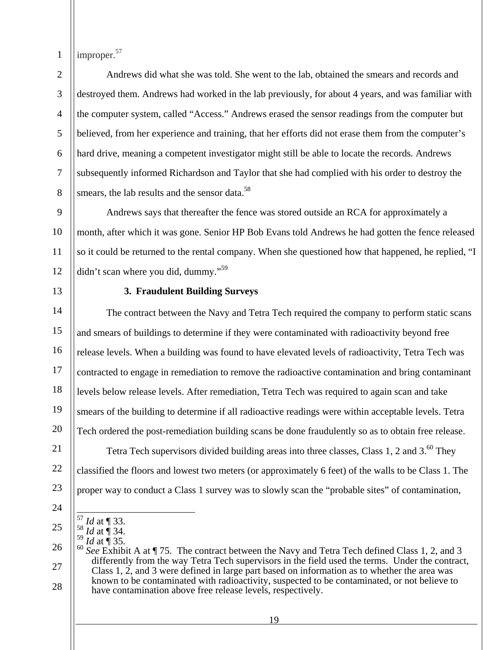2

3

improper.<sup>57</sup>

4 5 6 7 8 Andrews did what she was told. She went to the lab, obtained the smears and records and destroyed them. Andrews had worked in the lab previously, for about 4 years, and was familiar with the computer system, called "Access." Andrews erased the sensor readings from the computer but believed, from her experience and training, that her efforts did not erase them from the computer's hard drive, meaning a competent investigator might still be able to locate the records. Andrews subsequently informed Richardson and Taylor that she had complied with his order to destroy the smears, the lab results and the sensor data.<sup>58</sup>

9 10 11 12 Andrews says that thereafter the fence was stored outside an RCA for approximately a month, after which it was gone. Senior HP Bob Evans told Andrews he had gotten the fence released so it could be returned to the rental company. When she questioned how that happened, he replied, "I didn't scan where you did, dummy."<sup>59</sup>

13

## **3. Fraudulent Building Surveys**

14 15 16 17 18 19 20 The contract between the Navy and Tetra Tech required the company to perform static scans and smears of buildings to determine if they were contaminated with radioactivity beyond free release levels. When a building was found to have elevated levels of radioactivity, Tetra Tech was contracted to engage in remediation to remove the radioactive contamination and bring contaminant levels below release levels. After remediation, Tetra Tech was required to again scan and take smears of the building to determine if all radioactive readings were within acceptable levels. Tetra Tech ordered the post-remediation building scans be done fraudulently so as to obtain free release.

21 22 23 Tetra Tech supervisors divided building areas into three classes, Class 1, 2 and  $3.^{60}$  They classified the floors and lowest two meters (or approximately 6 feet) of the walls to be Class 1. The proper way to conduct a Class 1 survey was to slowly scan the "probable sites" of contamination,

24

25

<sup>26</sup> 27 28 57 *Id* at ¶ 33.<br><sup>58</sup> *Id* at ¶ 34.<br><sup>59</sup> *Id* at ¶ 35.<br><sup>60</sup> *See* Exhibit A at ¶ 75. The contract between the Navy and Tetra Tech defined Class 1, 2, and 3 differently from the way Tetra Tech supervisors in the field used the terms. Under the contract, Class 1, 2, and 3 were defined in large part based on information as to whether the area was known to be contaminated with radioactivity, suspected to be contaminated, or not believe to have contamination above free release levels, respectively.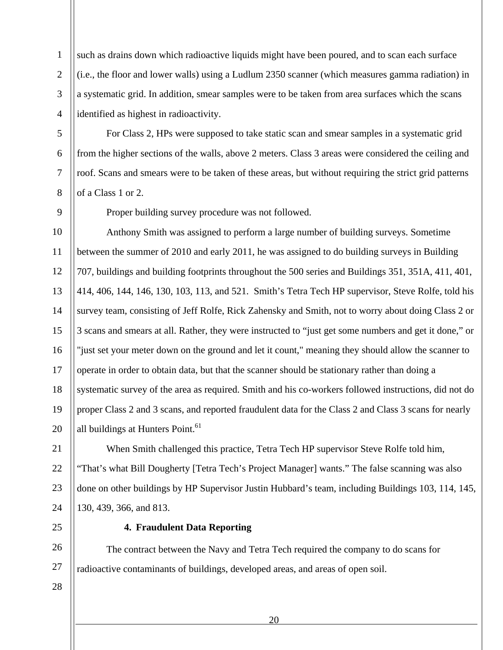2 3 4 such as drains down which radioactive liquids might have been poured, and to scan each surface (i.e., the floor and lower walls) using a Ludlum 2350 scanner (which measures gamma radiation) in a systematic grid. In addition, smear samples were to be taken from area surfaces which the scans identified as highest in radioactivity.

For Class 2, HPs were supposed to take static scan and smear samples in a systematic grid from the higher sections of the walls, above 2 meters. Class 3 areas were considered the ceiling and roof. Scans and smears were to be taken of these areas, but without requiring the strict grid patterns of a Class 1 or 2.

8 9

5

6

7

1

Proper building survey procedure was not followed.

10 11 12 13 14 15 16 17 18 19 20 Anthony Smith was assigned to perform a large number of building surveys. Sometime between the summer of 2010 and early 2011, he was assigned to do building surveys in Building 707, buildings and building footprints throughout the 500 series and Buildings 351, 351A, 411, 401, 414, 406, 144, 146, 130, 103, 113, and 521. Smith's Tetra Tech HP supervisor, Steve Rolfe, told his survey team, consisting of Jeff Rolfe, Rick Zahensky and Smith, not to worry about doing Class 2 or 3 scans and smears at all. Rather, they were instructed to "just get some numbers and get it done," or "just set your meter down on the ground and let it count," meaning they should allow the scanner to operate in order to obtain data, but that the scanner should be stationary rather than doing a systematic survey of the area as required. Smith and his co-workers followed instructions, did not do proper Class 2 and 3 scans, and reported fraudulent data for the Class 2 and Class 3 scans for nearly all buildings at Hunters Point.<sup>61</sup>

21 22 23  $24$  When Smith challenged this practice, Tetra Tech HP supervisor Steve Rolfe told him, "That's what Bill Dougherty [Tetra Tech's Project Manager] wants." The false scanning was also done on other buildings by HP Supervisor Justin Hubbard's team, including Buildings 103, 114, 145, 130, 439, 366, and 813.

25

26

27

# **4. Fraudulent Data Reporting**

The contract between the Navy and Tetra Tech required the company to do scans for radioactive contaminants of buildings, developed areas, and areas of open soil.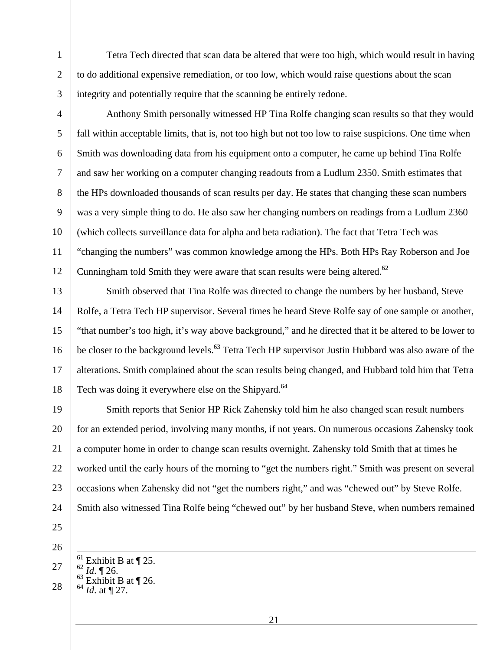Tetra Tech directed that scan data be altered that were too high, which would result in having to do additional expensive remediation, or too low, which would raise questions about the scan integrity and potentially require that the scanning be entirely redone.

3 4

5

6

7

8

9

10

11

12

1

2

Anthony Smith personally witnessed HP Tina Rolfe changing scan results so that they would fall within acceptable limits, that is, not too high but not too low to raise suspicions. One time when Smith was downloading data from his equipment onto a computer, he came up behind Tina Rolfe and saw her working on a computer changing readouts from a Ludlum 2350. Smith estimates that the HPs downloaded thousands of scan results per day. He states that changing these scan numbers was a very simple thing to do. He also saw her changing numbers on readings from a Ludlum 2360 (which collects surveillance data for alpha and beta radiation). The fact that Tetra Tech was "changing the numbers" was common knowledge among the HPs. Both HPs Ray Roberson and Joe Cunningham told Smith they were aware that scan results were being altered.<sup>62</sup>

13 14 15 16 17 18 Smith observed that Tina Rolfe was directed to change the numbers by her husband, Steve Rolfe, a Tetra Tech HP supervisor. Several times he heard Steve Rolfe say of one sample or another, "that number's too high, it's way above background," and he directed that it be altered to be lower to be closer to the background levels.<sup>63</sup> Tetra Tech HP supervisor Justin Hubbard was also aware of the alterations. Smith complained about the scan results being changed, and Hubbard told him that Tetra Tech was doing it everywhere else on the Shipyard.<sup>64</sup>

19 20 21 22 23 24 Smith reports that Senior HP Rick Zahensky told him he also changed scan result numbers for an extended period, involving many months, if not years. On numerous occasions Zahensky took a computer home in order to change scan results overnight. Zahensky told Smith that at times he worked until the early hours of the morning to "get the numbers right." Smith was present on several occasions when Zahensky did not "get the numbers right," and was "chewed out" by Steve Rolfe. Smith also witnessed Tina Rolfe being "chewed out" by her husband Steve, when numbers remained

25

26

27 28 <sup>61</sup> Exhibit B at ¶ 25.<br><sup>62</sup> *Id*. ¶ 26.<br><sup>63</sup> Exhibit B at ¶ 26.<br><sup>64</sup> *Id*. at ¶ 27.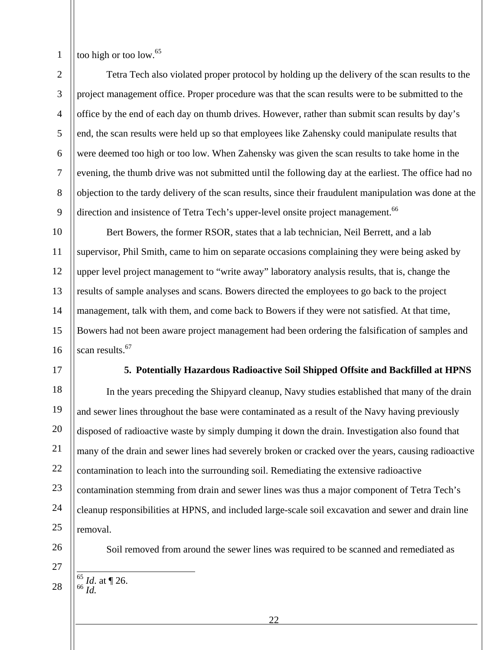too high or too low.65

2 3 4 5 6 7 8 9 Tetra Tech also violated proper protocol by holding up the delivery of the scan results to the project management office. Proper procedure was that the scan results were to be submitted to the office by the end of each day on thumb drives. However, rather than submit scan results by day's end, the scan results were held up so that employees like Zahensky could manipulate results that were deemed too high or too low. When Zahensky was given the scan results to take home in the evening, the thumb drive was not submitted until the following day at the earliest. The office had no objection to the tardy delivery of the scan results, since their fraudulent manipulation was done at the direction and insistence of Tetra Tech's upper-level onsite project management.<sup>66</sup>

10 11 12 13 14 15 16 Bert Bowers, the former RSOR, states that a lab technician, Neil Berrett, and a lab supervisor, Phil Smith, came to him on separate occasions complaining they were being asked by upper level project management to "write away" laboratory analysis results, that is, change the results of sample analyses and scans. Bowers directed the employees to go back to the project management, talk with them, and come back to Bowers if they were not satisfied. At that time, Bowers had not been aware project management had been ordering the falsification of samples and scan results. $67$ 

17

#### **5. Potentially Hazardous Radioactive Soil Shipped Offsite and Backfilled at HPNS**

18 19 20 21 22 23 24 25 In the years preceding the Shipyard cleanup, Navy studies established that many of the drain and sewer lines throughout the base were contaminated as a result of the Navy having previously disposed of radioactive waste by simply dumping it down the drain. Investigation also found that many of the drain and sewer lines had severely broken or cracked over the years, causing radioactive contamination to leach into the surrounding soil. Remediating the extensive radioactive contamination stemming from drain and sewer lines was thus a major component of Tetra Tech's cleanup responsibilities at HPNS, and included large-scale soil excavation and sewer and drain line removal.

26 27

28

Soil removed from around the sewer lines was required to be scanned and remediated as

 $\overline{\phantom{a}}$ <sup>65</sup> *Id*. at ¶ 26. 66 *Id.*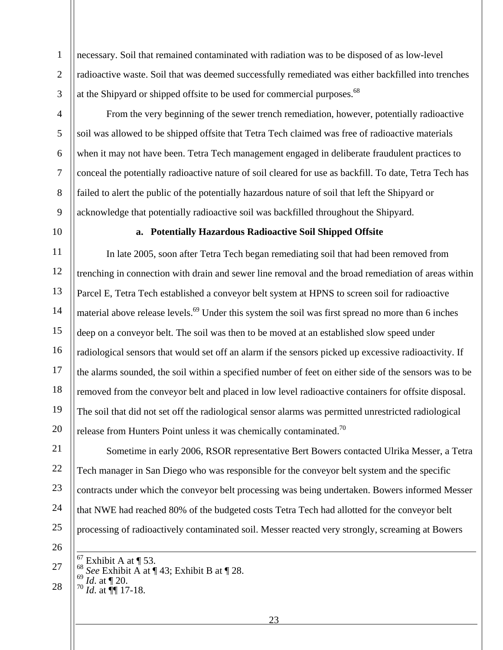necessary. Soil that remained contaminated with radiation was to be disposed of as low-level radioactive waste. Soil that was deemed successfully remediated was either backfilled into trenches at the Shipyard or shipped offsite to be used for commercial purposes.<sup>68</sup>

From the very beginning of the sewer trench remediation, however, potentially radioactive soil was allowed to be shipped offsite that Tetra Tech claimed was free of radioactive materials when it may not have been. Tetra Tech management engaged in deliberate fraudulent practices to conceal the potentially radioactive nature of soil cleared for use as backfill. To date, Tetra Tech has failed to alert the public of the potentially hazardous nature of soil that left the Shipyard or acknowledge that potentially radioactive soil was backfilled throughout the Shipyard.

10

1

2

3

4

5

6

7

8

9

## **a. Potentially Hazardous Radioactive Soil Shipped Offsite**

11 12 13 14 15 16 17 18 19 20 In late 2005, soon after Tetra Tech began remediating soil that had been removed from trenching in connection with drain and sewer line removal and the broad remediation of areas within Parcel E, Tetra Tech established a conveyor belt system at HPNS to screen soil for radioactive material above release levels.<sup>69</sup> Under this system the soil was first spread no more than 6 inches deep on a conveyor belt. The soil was then to be moved at an established slow speed under radiological sensors that would set off an alarm if the sensors picked up excessive radioactivity. If the alarms sounded, the soil within a specified number of feet on either side of the sensors was to be removed from the conveyor belt and placed in low level radioactive containers for offsite disposal. The soil that did not set off the radiological sensor alarms was permitted unrestricted radiological release from Hunters Point unless it was chemically contaminated.<sup>70</sup>

21 22 23 24 25 Sometime in early 2006, RSOR representative Bert Bowers contacted Ulrika Messer, a Tetra Tech manager in San Diego who was responsible for the conveyor belt system and the specific contracts under which the conveyor belt processing was being undertaken. Bowers informed Messer that NWE had reached 80% of the budgeted costs Tetra Tech had allotted for the conveyor belt processing of radioactively contaminated soil. Messer reacted very strongly, screaming at Bowers

26

27 Exhibit A at ¶ 53.<br> *See* Exhibit A at ¶ 43; Exhibit B at ¶ 28.<br> *Id.* at ¶ 17-18.

28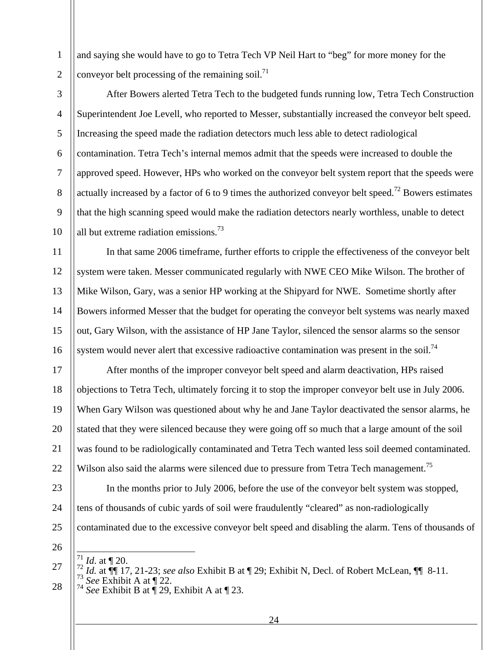and saying she would have to go to Tetra Tech VP Neil Hart to "beg" for more money for the convevor belt processing of the remaining soil.<sup>71</sup>

3 4 5 6 7 8 9 10 After Bowers alerted Tetra Tech to the budgeted funds running low, Tetra Tech Construction Superintendent Joe Levell, who reported to Messer, substantially increased the conveyor belt speed. Increasing the speed made the radiation detectors much less able to detect radiological contamination. Tetra Tech's internal memos admit that the speeds were increased to double the approved speed. However, HPs who worked on the conveyor belt system report that the speeds were actually increased by a factor of 6 to 9 times the authorized convevor belt speed.<sup>72</sup> Bowers estimates that the high scanning speed would make the radiation detectors nearly worthless, unable to detect all but extreme radiation emissions.<sup>73</sup>

11 12 13 14 15 16 In that same 2006 timeframe, further efforts to cripple the effectiveness of the conveyor belt system were taken. Messer communicated regularly with NWE CEO Mike Wilson. The brother of Mike Wilson, Gary, was a senior HP working at the Shipyard for NWE. Sometime shortly after Bowers informed Messer that the budget for operating the conveyor belt systems was nearly maxed out, Gary Wilson, with the assistance of HP Jane Taylor, silenced the sensor alarms so the sensor system would never alert that excessive radioactive contamination was present in the soil.<sup>74</sup>

17 18 19 20 21 22 After months of the improper conveyor belt speed and alarm deactivation, HPs raised objections to Tetra Tech, ultimately forcing it to stop the improper conveyor belt use in July 2006. When Gary Wilson was questioned about why he and Jane Taylor deactivated the sensor alarms, he stated that they were silenced because they were going off so much that a large amount of the soil was found to be radiologically contaminated and Tetra Tech wanted less soil deemed contaminated. Wilson also said the alarms were silenced due to pressure from Tetra Tech management.<sup>75</sup>

23 24 25 In the months prior to July 2006, before the use of the conveyor belt system was stopped, tens of thousands of cubic yards of soil were fraudulently "cleared" as non-radiologically contaminated due to the excessive conveyor belt speed and disabling the alarm. Tens of thousands of

26

27

1

- $\overline{a}$
- *Id.* at ¶ 20.<br>*Id.* at ¶ 17, 21-23; *see also* Exhibit B at ¶ 29; Exhibit N, Decl. of Robert McLean, ¶ 8-11.<br>*See* Exhibit B at ¶ 29, Exhibit A at ¶ 23.
- 28
- 24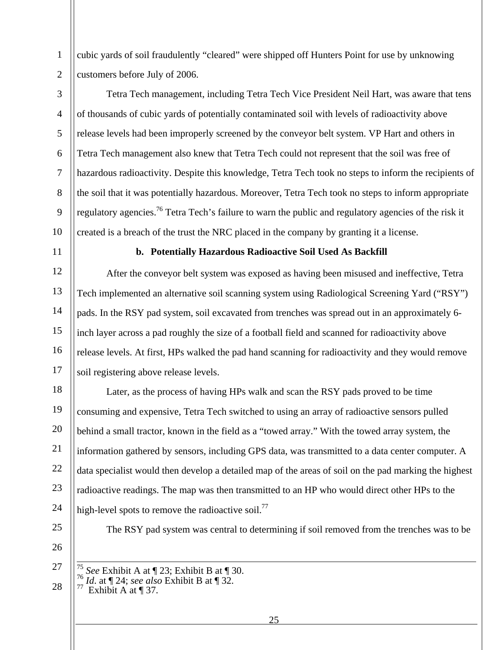1 2 cubic yards of soil fraudulently "cleared" were shipped off Hunters Point for use by unknowing customers before July of 2006.

3 4 5 6 7 8 9 10 Tetra Tech management, including Tetra Tech Vice President Neil Hart, was aware that tens of thousands of cubic yards of potentially contaminated soil with levels of radioactivity above release levels had been improperly screened by the conveyor belt system. VP Hart and others in Tetra Tech management also knew that Tetra Tech could not represent that the soil was free of hazardous radioactivity. Despite this knowledge, Tetra Tech took no steps to inform the recipients of the soil that it was potentially hazardous. Moreover, Tetra Tech took no steps to inform appropriate regulatory agencies.<sup>76</sup> Tetra Tech's failure to warn the public and regulatory agencies of the risk it created is a breach of the trust the NRC placed in the company by granting it a license.

11

#### **b. Potentially Hazardous Radioactive Soil Used As Backfill**

12 13 14 15 16 17 After the conveyor belt system was exposed as having been misused and ineffective, Tetra Tech implemented an alternative soil scanning system using Radiological Screening Yard ("RSY") pads. In the RSY pad system, soil excavated from trenches was spread out in an approximately 6 inch layer across a pad roughly the size of a football field and scanned for radioactivity above release levels. At first, HPs walked the pad hand scanning for radioactivity and they would remove soil registering above release levels.

18 19 20 21 22 23 24 Later, as the process of having HPs walk and scan the RSY pads proved to be time consuming and expensive, Tetra Tech switched to using an array of radioactive sensors pulled behind a small tractor, known in the field as a "towed array." With the towed array system, the information gathered by sensors, including GPS data, was transmitted to a data center computer. A data specialist would then develop a detailed map of the areas of soil on the pad marking the highest radioactive readings. The map was then transmitted to an HP who would direct other HPs to the high-level spots to remove the radioactive soil.<sup>77</sup>

25

26

27

28

The RSY pad system was central to determining if soil removed from the trenches was to be

<sup>75</sup> *See* Exhibit A at ¶ 23; Exhibit B at ¶ 30. 76 *Id*. at ¶ 24; *see also* Exhibit B at ¶ 32. 77 Exhibit A at ¶ 37.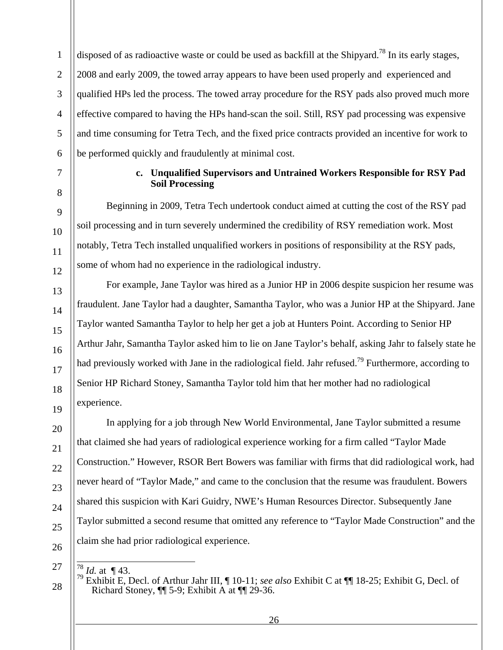1 2 3 4 5 6 disposed of as radioactive waste or could be used as backfill at the Shipyard.<sup>78</sup> In its early stages. 2008 and early 2009, the towed array appears to have been used properly and experienced and qualified HPs led the process. The towed array procedure for the RSY pads also proved much more effective compared to having the HPs hand-scan the soil. Still, RSY pad processing was expensive and time consuming for Tetra Tech, and the fixed price contracts provided an incentive for work to be performed quickly and fraudulently at minimal cost.

# **c. Unqualified Supervisors and Untrained Workers Responsible for RSY Pad Soil Processing**

Beginning in 2009, Tetra Tech undertook conduct aimed at cutting the cost of the RSY pad soil processing and in turn severely undermined the credibility of RSY remediation work. Most notably, Tetra Tech installed unqualified workers in positions of responsibility at the RSY pads, some of whom had no experience in the radiological industry.

For example, Jane Taylor was hired as a Junior HP in 2006 despite suspicion her resume was fraudulent. Jane Taylor had a daughter, Samantha Taylor, who was a Junior HP at the Shipyard. Jane Taylor wanted Samantha Taylor to help her get a job at Hunters Point. According to Senior HP Arthur Jahr, Samantha Taylor asked him to lie on Jane Taylor's behalf, asking Jahr to falsely state he had previously worked with Jane in the radiological field. Jahr refused.<sup>79</sup> Furthermore, according to Senior HP Richard Stoney, Samantha Taylor told him that her mother had no radiological experience.

In applying for a job through New World Environmental, Jane Taylor submitted a resume that claimed she had years of radiological experience working for a firm called "Taylor Made Construction." However, RSOR Bert Bowers was familiar with firms that did radiological work, had never heard of "Taylor Made," and came to the conclusion that the resume was fraudulent. Bowers shared this suspicion with Kari Guidry, NWE's Human Resources Director. Subsequently Jane Taylor submitted a second resume that omitted any reference to "Taylor Made Construction" and the claim she had prior radiological experience.

 $^{78}$  *Id.* at ¶ 43.

7

8

9

10

11

12

13

14

15

16

17

18

19

20

21

22

23

 $24$ 

25

26

27

Exhibit E, Decl. of Arthur Jahr III, ¶ 10-11; *see also* Exhibit C at ¶¶ 18-25; Exhibit G, Decl. of Richard Stoney,  $\P\P$  5-9; Exhibit A at  $\P$  $\overline{\P}$  29-36.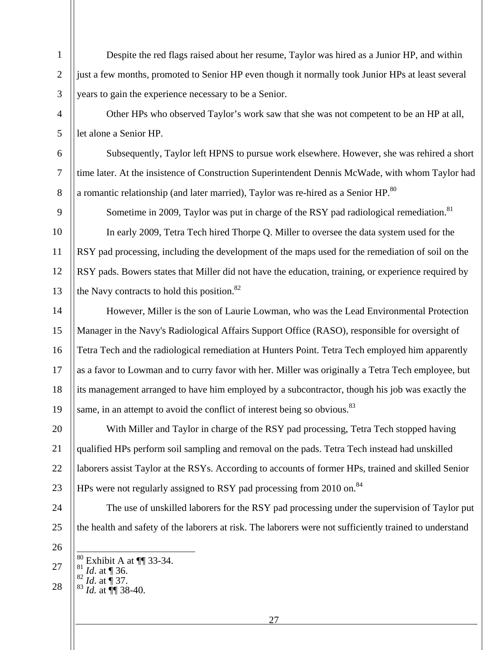Despite the red flags raised about her resume, Taylor was hired as a Junior HP, and within just a few months, promoted to Senior HP even though it normally took Junior HPs at least several years to gain the experience necessary to be a Senior.

Other HPs who observed Taylor's work saw that she was not competent to be an HP at all, let alone a Senior HP.

Subsequently, Taylor left HPNS to pursue work elsewhere. However, she was rehired a short time later. At the insistence of Construction Superintendent Dennis McWade, with whom Taylor had a romantic relationship (and later married), Taylor was re-hired as a Senior HP.<sup>80</sup>

Sometime in 2009, Taylor was put in charge of the RSY pad radiological remediation.<sup>81</sup>

10 11 12 13 In early 2009, Tetra Tech hired Thorpe Q. Miller to oversee the data system used for the RSY pad processing, including the development of the maps used for the remediation of soil on the RSY pads. Bowers states that Miller did not have the education, training, or experience required by the Navy contracts to hold this position. $82$ 

14 15 16 17 18 19 However, Miller is the son of Laurie Lowman, who was the Lead Environmental Protection Manager in the Navy's Radiological Affairs Support Office (RASO), responsible for oversight of Tetra Tech and the radiological remediation at Hunters Point. Tetra Tech employed him apparently as a favor to Lowman and to curry favor with her. Miller was originally a Tetra Tech employee, but its management arranged to have him employed by a subcontractor, though his job was exactly the same, in an attempt to avoid the conflict of interest being so obvious.  $83$ 

20 21 22 23 With Miller and Taylor in charge of the RSY pad processing, Tetra Tech stopped having qualified HPs perform soil sampling and removal on the pads. Tetra Tech instead had unskilled laborers assist Taylor at the RSYs. According to accounts of former HPs, trained and skilled Senior HPs were not regularly assigned to RSY pad processing from 2010 on.<sup>84</sup>

- 24 25 The use of unskilled laborers for the RSY pad processing under the supervision of Taylor put the health and safety of the laborers at risk. The laborers were not sufficiently trained to understand
- 27 28  $\frac{1}{2}$ Exhibit A at **[[**] 33-34.<br> *Id.* at **[**] 36.<br> *Id.* at **[**] 37.<br> *Id.* at **[**] 38-40.

26

1

2

3

4

5

6

7

8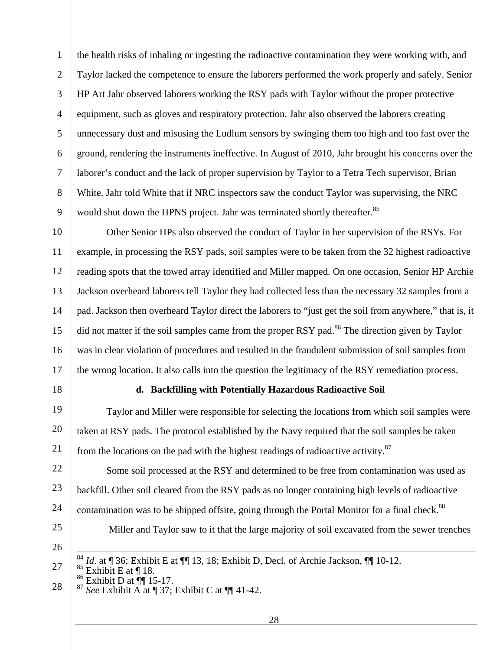1 2 3 4 5 6 7 8 9 the health risks of inhaling or ingesting the radioactive contamination they were working with, and Taylor lacked the competence to ensure the laborers performed the work properly and safely. Senior HP Art Jahr observed laborers working the RSY pads with Taylor without the proper protective equipment, such as gloves and respiratory protection. Jahr also observed the laborers creating unnecessary dust and misusing the Ludlum sensors by swinging them too high and too fast over the ground, rendering the instruments ineffective. In August of 2010, Jahr brought his concerns over the laborer's conduct and the lack of proper supervision by Taylor to a Tetra Tech supervisor, Brian White. Jahr told White that if NRC inspectors saw the conduct Taylor was supervising, the NRC would shut down the HPNS project. Jahr was terminated shortly thereafter.<sup>85</sup>

10 11 12 13 14 15 16 17 Other Senior HPs also observed the conduct of Taylor in her supervision of the RSYs. For example, in processing the RSY pads, soil samples were to be taken from the 32 highest radioactive reading spots that the towed array identified and Miller mapped. On one occasion, Senior HP Archie Jackson overheard laborers tell Taylor they had collected less than the necessary 32 samples from a pad. Jackson then overheard Taylor direct the laborers to "just get the soil from anywhere," that is, it did not matter if the soil samples came from the proper RSY pad.<sup>86</sup> The direction given by Taylor was in clear violation of procedures and resulted in the fraudulent submission of soil samples from the wrong location. It also calls into the question the legitimacy of the RSY remediation process.

18

#### **d. Backfilling with Potentially Hazardous Radioactive Soil**

19 20 21 Taylor and Miller were responsible for selecting the locations from which soil samples were taken at RSY pads. The protocol established by the Navy required that the soil samples be taken from the locations on the pad with the highest readings of radioactive activity. $87$ 

22 23 24 25 26 Some soil processed at the RSY and determined to be free from contamination was used as backfill. Other soil cleared from the RSY pads as no longer containing high levels of radioactive contamination was to be shipped offsite, going through the Portal Monitor for a final check.<sup>88</sup> Miller and Taylor saw to it that the large majority of soil excavated from the sewer trenches

27 *Id.* at ¶ 36; Exhibit E at ¶| 13, 18; Exhibit D, Decl. of Archie Jackson, ¶| 10-12.<br>Exhibit E at ¶ 18.<br>Exhibit D at ¶| 15-17.<br>*See* Exhibit A at ¶ 37; Exhibit C at ¶|| 41-42.

28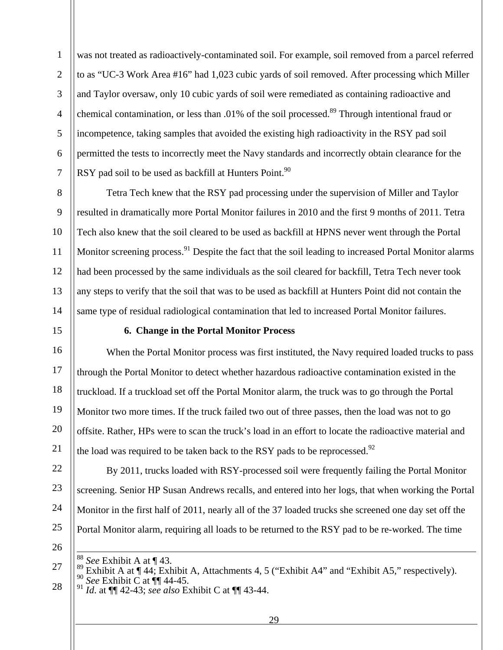1 2 3 4 5 6 7 was not treated as radioactively-contaminated soil. For example, soil removed from a parcel referred to as "UC-3 Work Area #16" had 1,023 cubic yards of soil removed. After processing which Miller and Taylor oversaw, only 10 cubic yards of soil were remediated as containing radioactive and chemical contamination, or less than .01% of the soil processed.<sup>89</sup> Through intentional fraud or incompetence, taking samples that avoided the existing high radioactivity in the RSY pad soil permitted the tests to incorrectly meet the Navy standards and incorrectly obtain clearance for the RSY pad soil to be used as backfill at Hunters Point. $90$ 

8 9 10 11 12 13 14 Tetra Tech knew that the RSY pad processing under the supervision of Miller and Taylor resulted in dramatically more Portal Monitor failures in 2010 and the first 9 months of 2011. Tetra Tech also knew that the soil cleared to be used as backfill at HPNS never went through the Portal Monitor screening process.<sup>91</sup> Despite the fact that the soil leading to increased Portal Monitor alarms had been processed by the same individuals as the soil cleared for backfill, Tetra Tech never took any steps to verify that the soil that was to be used as backfill at Hunters Point did not contain the same type of residual radiological contamination that led to increased Portal Monitor failures.

15

#### **6. Change in the Portal Monitor Process**

16 17 18 19 20 21 When the Portal Monitor process was first instituted, the Navy required loaded trucks to pass through the Portal Monitor to detect whether hazardous radioactive contamination existed in the truckload. If a truckload set off the Portal Monitor alarm, the truck was to go through the Portal Monitor two more times. If the truck failed two out of three passes, then the load was not to go offsite. Rather, HPs were to scan the truck's load in an effort to locate the radioactive material and the load was required to be taken back to the RSY pads to be reprocessed.<sup>92</sup>

22 23 24 25 26 By 2011, trucks loaded with RSY-processed soil were frequently failing the Portal Monitor screening. Senior HP Susan Andrews recalls, and entered into her logs, that when working the Portal Monitor in the first half of 2011, nearly all of the 37 loaded trucks she screened one day set off the Portal Monitor alarm, requiring all loads to be returned to the RSY pad to be re-worked. The time

27 28 See Exhibit A at  $\P$  43.<br>Exhibit A at  $\P$  44; Exhibit A, Attachments 4, 5 ("Exhibit A4" and "Exhibit A5," respectively).<br>See Exhibit C at  $\P$  44-45.<br>Id. at  $\P$  42-43; see also Exhibit C at  $\P$  43-44.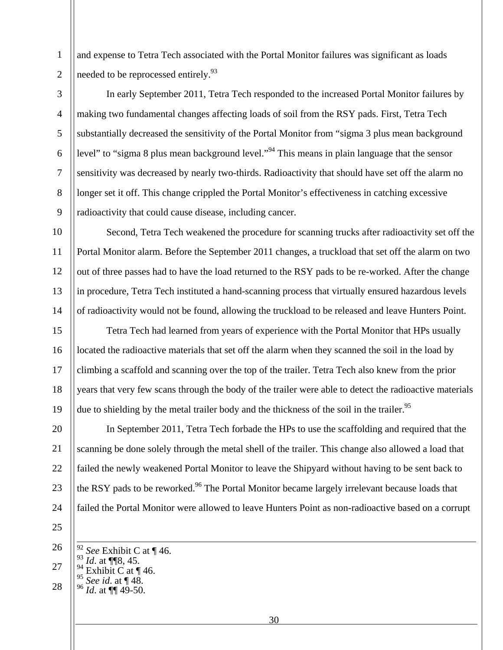and expense to Tetra Tech associated with the Portal Monitor failures was significant as loads needed to be reprocessed entirely.<sup>93</sup>

In early September 2011, Tetra Tech responded to the increased Portal Monitor failures by making two fundamental changes affecting loads of soil from the RSY pads. First, Tetra Tech substantially decreased the sensitivity of the Portal Monitor from "sigma 3 plus mean background level" to "sigma 8 plus mean background level."<sup>94</sup> This means in plain language that the sensor sensitivity was decreased by nearly two-thirds. Radioactivity that should have set off the alarm no longer set it off. This change crippled the Portal Monitor's effectiveness in catching excessive radioactivity that could cause disease, including cancer.

10 11 12 13 14 Second, Tetra Tech weakened the procedure for scanning trucks after radioactivity set off the Portal Monitor alarm. Before the September 2011 changes, a truckload that set off the alarm on two out of three passes had to have the load returned to the RSY pads to be re-worked. After the change in procedure, Tetra Tech instituted a hand-scanning process that virtually ensured hazardous levels of radioactivity would not be found, allowing the truckload to be released and leave Hunters Point.

15 16 17 18 19 Tetra Tech had learned from years of experience with the Portal Monitor that HPs usually located the radioactive materials that set off the alarm when they scanned the soil in the load by climbing a scaffold and scanning over the top of the trailer. Tetra Tech also knew from the prior years that very few scans through the body of the trailer were able to detect the radioactive materials due to shielding by the metal trailer body and the thickness of the soil in the trailer.<sup>95</sup>

20 21 22 23 24 In September 2011, Tetra Tech forbade the HPs to use the scaffolding and required that the scanning be done solely through the metal shell of the trailer. This change also allowed a load that failed the newly weakened Portal Monitor to leave the Shipyard without having to be sent back to the RSY pads to be reworked.<sup>96</sup> The Portal Monitor became largely irrelevant because loads that failed the Portal Monitor were allowed to leave Hunters Point as non-radioactive based on a corrupt

25

1

2

3

4

5

6

7

8

9

26 27 28 <sup>92</sup> *See* Exhibit C at ¶ 46. 93 *Id*. at ¶¶8, 45. 94 Exhibit C at ¶ 46. 95 *See id*. at ¶ 48. 96 *Id*. at ¶¶ 49-50.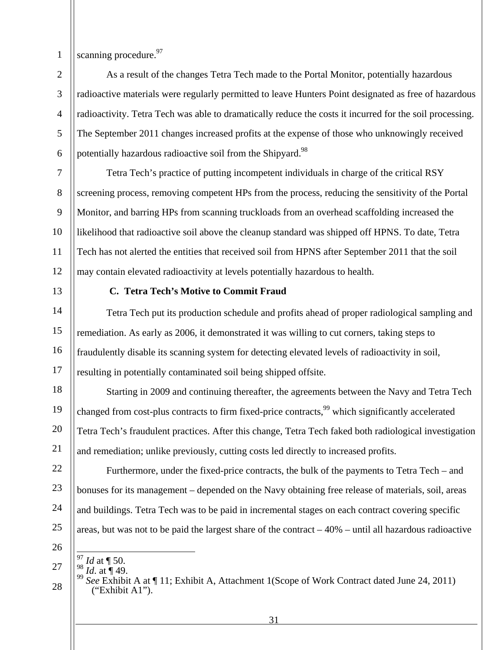2

3

scanning procedure. $97$ 

4 5 6 As a result of the changes Tetra Tech made to the Portal Monitor, potentially hazardous radioactive materials were regularly permitted to leave Hunters Point designated as free of hazardous radioactivity. Tetra Tech was able to dramatically reduce the costs it incurred for the soil processing. The September 2011 changes increased profits at the expense of those who unknowingly received potentially hazardous radioactive soil from the Shipyard.<sup>98</sup>

7 8 9 10 11 12 Tetra Tech's practice of putting incompetent individuals in charge of the critical RSY screening process, removing competent HPs from the process, reducing the sensitivity of the Portal Monitor, and barring HPs from scanning truckloads from an overhead scaffolding increased the likelihood that radioactive soil above the cleanup standard was shipped off HPNS. To date, Tetra Tech has not alerted the entities that received soil from HPNS after September 2011 that the soil may contain elevated radioactivity at levels potentially hazardous to health.

13

# **C. Tetra Tech's Motive to Commit Fraud**

14 15 16 17 Tetra Tech put its production schedule and profits ahead of proper radiological sampling and remediation. As early as 2006, it demonstrated it was willing to cut corners, taking steps to fraudulently disable its scanning system for detecting elevated levels of radioactivity in soil, resulting in potentially contaminated soil being shipped offsite.

18 19 20 21 Starting in 2009 and continuing thereafter, the agreements between the Navy and Tetra Tech changed from cost-plus contracts to firm fixed-price contracts.<sup>99</sup> which significantly accelerated Tetra Tech's fraudulent practices. After this change, Tetra Tech faked both radiological investigation and remediation; unlike previously, cutting costs led directly to increased profits.

22 23 24 25 Furthermore, under the fixed-price contracts, the bulk of the payments to Tetra Tech – and bonuses for its management – depended on the Navy obtaining free release of materials, soil, areas and buildings. Tetra Tech was to be paid in incremental stages on each contract covering specific areas, but was not to be paid the largest share of the contract – 40% – until all hazardous radioactive

26

27

- $\overline{97}$  *Id* at ¶ 50.
- 

*Id.* at ¶ 49.<br>*See* Exhibit A at ¶ 11; Exhibit A, Attachment 1(Scope of Work Contract dated June 24, 2011) ("Exhibit A1").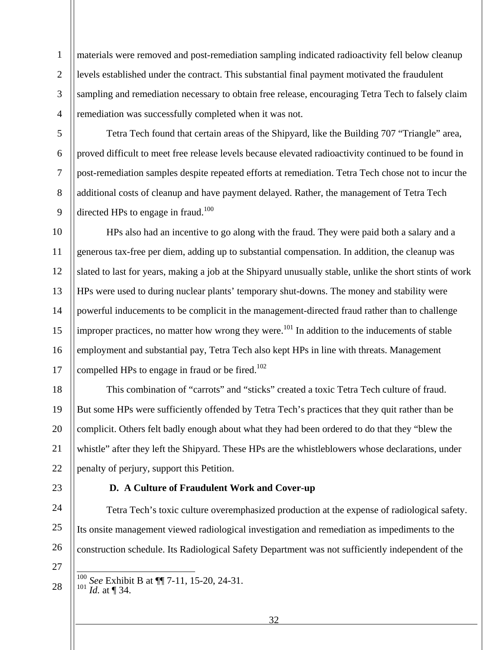1 2 3 4 materials were removed and post-remediation sampling indicated radioactivity fell below cleanup levels established under the contract. This substantial final payment motivated the fraudulent sampling and remediation necessary to obtain free release, encouraging Tetra Tech to falsely claim remediation was successfully completed when it was not.

5 6 7

8

9

Tetra Tech found that certain areas of the Shipyard, like the Building 707 "Triangle" area, proved difficult to meet free release levels because elevated radioactivity continued to be found in post-remediation samples despite repeated efforts at remediation. Tetra Tech chose not to incur the additional costs of cleanup and have payment delayed. Rather, the management of Tetra Tech directed HPs to engage in fraud.<sup>100</sup>

10 11 12 13 14 15 16 17 HPs also had an incentive to go along with the fraud. They were paid both a salary and a generous tax-free per diem, adding up to substantial compensation. In addition, the cleanup was slated to last for years, making a job at the Shipyard unusually stable, unlike the short stints of work HPs were used to during nuclear plants' temporary shut-downs. The money and stability were powerful inducements to be complicit in the management-directed fraud rather than to challenge improper practices, no matter how wrong they were.<sup>101</sup> In addition to the inducements of stable employment and substantial pay, Tetra Tech also kept HPs in line with threats. Management compelled HPs to engage in fraud or be fired.<sup>102</sup>

18 19 20 21 22 This combination of "carrots" and "sticks" created a toxic Tetra Tech culture of fraud. But some HPs were sufficiently offended by Tetra Tech's practices that they quit rather than be complicit. Others felt badly enough about what they had been ordered to do that they "blew the whistle" after they left the Shipyard. These HPs are the whistleblowers whose declarations, under penalty of perjury, support this Petition.

23

27

28

# **D. A Culture of Fraudulent Work and Cover-up**

24 25 26 Tetra Tech's toxic culture overemphasized production at the expense of radiological safety. Its onsite management viewed radiological investigation and remediation as impediments to the construction schedule. Its Radiological Safety Department was not sufficiently independent of the

- <sup>100</sup> *See* Exhibit B at ¶¶ 7-11, 15-20, 24-31. 101 *Id.* at ¶ 34.
- 32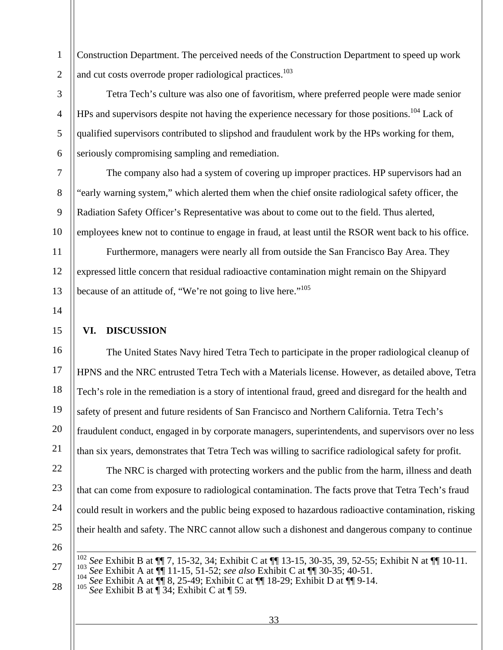Construction Department. The perceived needs of the Construction Department to speed up work and cut costs overrode proper radiological practices.<sup>103</sup>

Tetra Tech's culture was also one of favoritism, where preferred people were made senior HPs and supervisors despite not having the experience necessary for those positions.<sup>104</sup> Lack of qualified supervisors contributed to slipshod and fraudulent work by the HPs working for them, seriously compromising sampling and remediation.

The company also had a system of covering up improper practices. HP supervisors had an "early warning system," which alerted them when the chief onsite radiological safety officer, the Radiation Safety Officer's Representative was about to come out to the field. Thus alerted, employees knew not to continue to engage in fraud, at least until the RSOR went back to his office.

11 12 13 Furthermore, managers were nearly all from outside the San Francisco Bay Area. They expressed little concern that residual radioactive contamination might remain on the Shipyard because of an attitude of, "We're not going to live here."<sup>105</sup>

14

15

1

2

3

4

5

6

7

8

9

10

# **VI. DISCUSSION**

16 17 18 19 20 21 The United States Navy hired Tetra Tech to participate in the proper radiological cleanup of HPNS and the NRC entrusted Tetra Tech with a Materials license. However, as detailed above, Tetra Tech's role in the remediation is a story of intentional fraud, greed and disregard for the health and safety of present and future residents of San Francisco and Northern California. Tetra Tech's fraudulent conduct, engaged in by corporate managers, superintendents, and supervisors over no less than six years, demonstrates that Tetra Tech was willing to sacrifice radiological safety for profit.

22 23 24 25 The NRC is charged with protecting workers and the public from the harm, illness and death that can come from exposure to radiological contamination. The facts prove that Tetra Tech's fraud could result in workers and the public being exposed to hazardous radioactive contamination, risking their health and safety. The NRC cannot allow such a dishonest and dangerous company to continue

26

27

28

<sup>102</sup> See Exhibit B at  $\P$  7, 15-32, 34; Exhibit C at  $\P$  13-15, 30-35, 39, 52-55; Exhibit N at  $\P$  10-11.<br><sup>103</sup> See Exhibit A at  $\P$  11-15, 51-52; *see also* Exhibit C at  $\P$  130-35; 40-51.<br><sup>104</sup> See Exhibit A at  $\P$  8,

- 
-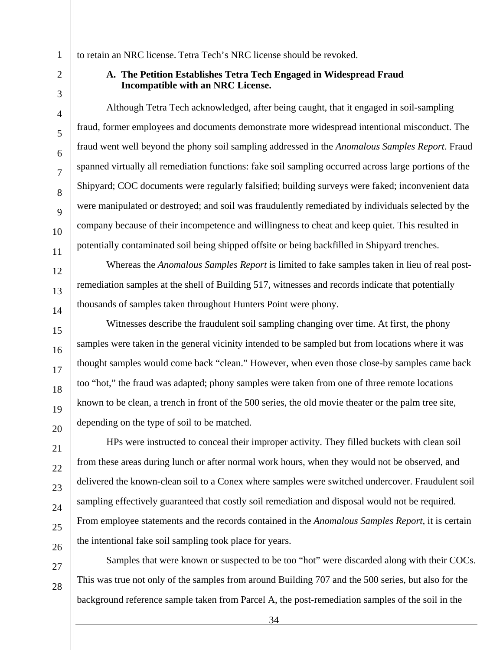2

3

4

5

6

7

8

9

10

11

12

13

14

15

16

17

18

19

20

21

22

23

 $24$ 

25

26

to retain an NRC license. Tetra Tech's NRC license should be revoked.

## **A. The Petition Establishes Tetra Tech Engaged in Widespread Fraud Incompatible with an NRC License.**

Although Tetra Tech acknowledged, after being caught, that it engaged in soil-sampling fraud, former employees and documents demonstrate more widespread intentional misconduct. The fraud went well beyond the phony soil sampling addressed in the *Anomalous Samples Report*. Fraud spanned virtually all remediation functions: fake soil sampling occurred across large portions of the Shipyard; COC documents were regularly falsified; building surveys were faked; inconvenient data were manipulated or destroyed; and soil was fraudulently remediated by individuals selected by the company because of their incompetence and willingness to cheat and keep quiet. This resulted in potentially contaminated soil being shipped offsite or being backfilled in Shipyard trenches.

Whereas the *Anomalous Samples Report* is limited to fake samples taken in lieu of real postremediation samples at the shell of Building 517, witnesses and records indicate that potentially thousands of samples taken throughout Hunters Point were phony.

Witnesses describe the fraudulent soil sampling changing over time. At first, the phony samples were taken in the general vicinity intended to be sampled but from locations where it was thought samples would come back "clean." However, when even those close-by samples came back too "hot," the fraud was adapted; phony samples were taken from one of three remote locations known to be clean, a trench in front of the 500 series, the old movie theater or the palm tree site, depending on the type of soil to be matched.

HPs were instructed to conceal their improper activity. They filled buckets with clean soil from these areas during lunch or after normal work hours, when they would not be observed, and delivered the known-clean soil to a Conex where samples were switched undercover. Fraudulent soil sampling effectively guaranteed that costly soil remediation and disposal would not be required. From employee statements and the records contained in the *Anomalous Samples Report,* it is certain the intentional fake soil sampling took place for years.

27 28

Samples that were known or suspected to be too "hot" were discarded along with their COCs. This was true not only of the samples from around Building 707 and the 500 series, but also for the background reference sample taken from Parcel A, the post-remediation samples of the soil in the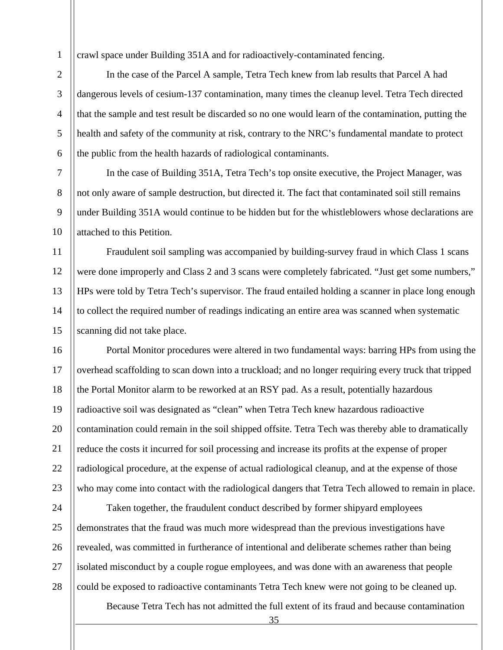crawl space under Building 351A and for radioactively-contaminated fencing.

1

2

3

4

5

6

7

8

9

10

In the case of the Parcel A sample, Tetra Tech knew from lab results that Parcel A had dangerous levels of cesium-137 contamination, many times the cleanup level. Tetra Tech directed that the sample and test result be discarded so no one would learn of the contamination, putting the health and safety of the community at risk, contrary to the NRC's fundamental mandate to protect the public from the health hazards of radiological contaminants.

In the case of Building 351A, Tetra Tech's top onsite executive, the Project Manager, was not only aware of sample destruction, but directed it. The fact that contaminated soil still remains under Building 351A would continue to be hidden but for the whistleblowers whose declarations are attached to this Petition.

11 12 13 14 15 Fraudulent soil sampling was accompanied by building-survey fraud in which Class 1 scans were done improperly and Class 2 and 3 scans were completely fabricated. "Just get some numbers," HPs were told by Tetra Tech's supervisor. The fraud entailed holding a scanner in place long enough to collect the required number of readings indicating an entire area was scanned when systematic scanning did not take place.

16 17 18 19 20 21 22 23 Portal Monitor procedures were altered in two fundamental ways: barring HPs from using the overhead scaffolding to scan down into a truckload; and no longer requiring every truck that tripped the Portal Monitor alarm to be reworked at an RSY pad. As a result, potentially hazardous radioactive soil was designated as "clean" when Tetra Tech knew hazardous radioactive contamination could remain in the soil shipped offsite. Tetra Tech was thereby able to dramatically reduce the costs it incurred for soil processing and increase its profits at the expense of proper radiological procedure, at the expense of actual radiological cleanup, and at the expense of those who may come into contact with the radiological dangers that Tetra Tech allowed to remain in place.

 $24$ 25 26 27 28 Taken together, the fraudulent conduct described by former shipyard employees demonstrates that the fraud was much more widespread than the previous investigations have revealed, was committed in furtherance of intentional and deliberate schemes rather than being isolated misconduct by a couple rogue employees, and was done with an awareness that people could be exposed to radioactive contaminants Tetra Tech knew were not going to be cleaned up.

Because Tetra Tech has not admitted the full extent of its fraud and because contamination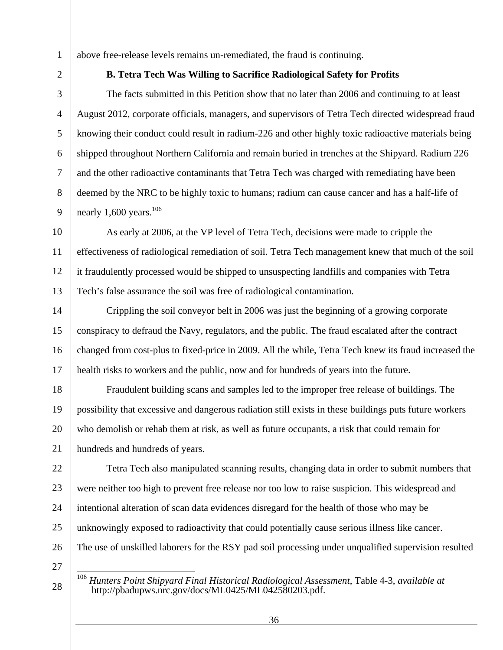above free-release levels remains un-remediated, the fraud is continuing.

# **B. Tetra Tech Was Willing to Sacrifice Radiological Safety for Profits**

The facts submitted in this Petition show that no later than 2006 and continuing to at least August 2012, corporate officials, managers, and supervisors of Tetra Tech directed widespread fraud knowing their conduct could result in radium-226 and other highly toxic radioactive materials being shipped throughout Northern California and remain buried in trenches at the Shipyard. Radium 226 and the other radioactive contaminants that Tetra Tech was charged with remediating have been deemed by the NRC to be highly toxic to humans; radium can cause cancer and has a half-life of nearly 1,600 years. $106$ 

10 11 12 13 As early at 2006, at the VP level of Tetra Tech, decisions were made to cripple the effectiveness of radiological remediation of soil. Tetra Tech management knew that much of the soil it fraudulently processed would be shipped to unsuspecting landfills and companies with Tetra Tech's false assurance the soil was free of radiological contamination.

14 15 16 17 Crippling the soil conveyor belt in 2006 was just the beginning of a growing corporate conspiracy to defraud the Navy, regulators, and the public. The fraud escalated after the contract changed from cost-plus to fixed-price in 2009. All the while, Tetra Tech knew its fraud increased the health risks to workers and the public, now and for hundreds of years into the future.

18 19 20 21 Fraudulent building scans and samples led to the improper free release of buildings. The possibility that excessive and dangerous radiation still exists in these buildings puts future workers who demolish or rehab them at risk, as well as future occupants, a risk that could remain for hundreds and hundreds of years.

22 23 24 25 26 Tetra Tech also manipulated scanning results, changing data in order to submit numbers that were neither too high to prevent free release nor too low to raise suspicion. This widespread and intentional alteration of scan data evidences disregard for the health of those who may be unknowingly exposed to radioactivity that could potentially cause serious illness like cancer. The use of unskilled laborers for the RSY pad soil processing under unqualified supervision resulted

27

1

2

3

4

5

6

7

8

9

<sup>106</sup> *Hunters Point Shipyard Final Historical Radiological Assessment*, Table 4-3, *available at*  http://pbadupws.nrc.gov/docs/ML0425/ML042580203.pdf.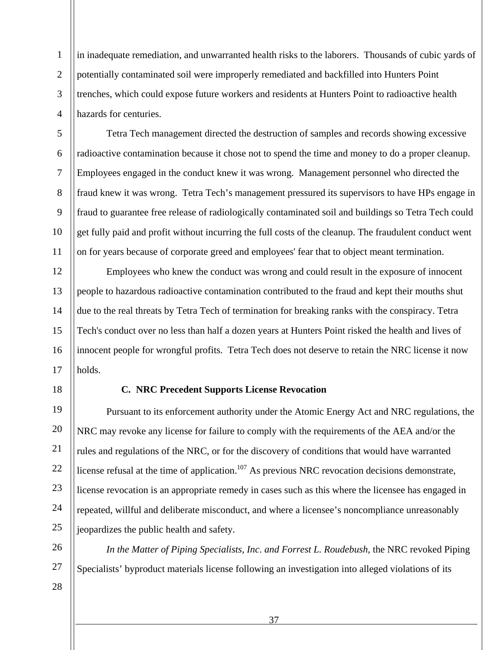1 2 3 4 in inadequate remediation, and unwarranted health risks to the laborers. Thousands of cubic yards of potentially contaminated soil were improperly remediated and backfilled into Hunters Point trenches, which could expose future workers and residents at Hunters Point to radioactive health hazards for centuries.

5 6 7 8 9 10 11 Tetra Tech management directed the destruction of samples and records showing excessive radioactive contamination because it chose not to spend the time and money to do a proper cleanup. Employees engaged in the conduct knew it was wrong. Management personnel who directed the fraud knew it was wrong. Tetra Tech's management pressured its supervisors to have HPs engage in fraud to guarantee free release of radiologically contaminated soil and buildings so Tetra Tech could get fully paid and profit without incurring the full costs of the cleanup. The fraudulent conduct went on for years because of corporate greed and employees' fear that to object meant termination.

12 13 14 15 16 17 Employees who knew the conduct was wrong and could result in the exposure of innocent people to hazardous radioactive contamination contributed to the fraud and kept their mouths shut due to the real threats by Tetra Tech of termination for breaking ranks with the conspiracy. Tetra Tech's conduct over no less than half a dozen years at Hunters Point risked the health and lives of innocent people for wrongful profits. Tetra Tech does not deserve to retain the NRC license it now holds.

18

#### **C. NRC Precedent Supports License Revocation**

19 20 21 22 23 24 25 Pursuant to its enforcement authority under the Atomic Energy Act and NRC regulations, the NRC may revoke any license for failure to comply with the requirements of the AEA and/or the rules and regulations of the NRC, or for the discovery of conditions that would have warranted license refusal at the time of application.<sup>107</sup> As previous NRC revocation decisions demonstrate, license revocation is an appropriate remedy in cases such as this where the licensee has engaged in repeated, willful and deliberate misconduct, and where a licensee's noncompliance unreasonably jeopardizes the public health and safety.

*In the Matter of Piping Specialists, Inc*. *and Forrest L. Roudebush*, the NRC revoked Piping Specialists' byproduct materials license following an investigation into alleged violations of its

28

26

27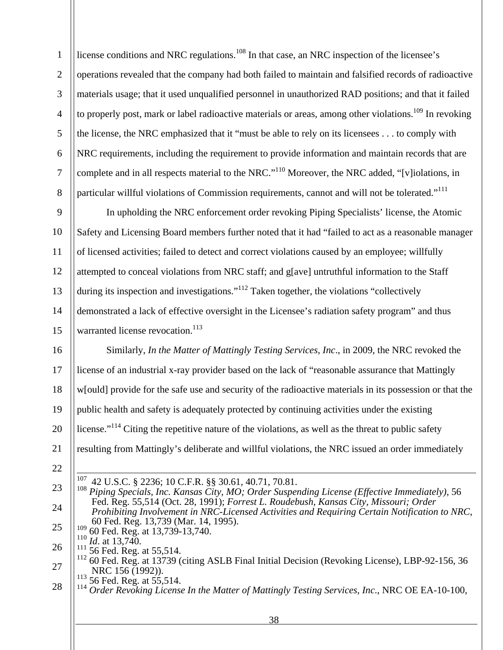| $\mathbf{1}$   | license conditions and NRC regulations. <sup>108</sup> In that case, an NRC inspection of the licensee's                                                                              |  |
|----------------|---------------------------------------------------------------------------------------------------------------------------------------------------------------------------------------|--|
| $\overline{2}$ | operations revealed that the company had both failed to maintain and falsified records of radioactive                                                                                 |  |
| 3              | materials usage; that it used unqualified personnel in unauthorized RAD positions; and that it failed                                                                                 |  |
| $\overline{4}$ | to properly post, mark or label radioactive materials or areas, among other violations. <sup>109</sup> In revoking                                                                    |  |
| $\mathfrak{S}$ | the license, the NRC emphasized that it "must be able to rely on its licensees to comply with                                                                                         |  |
| $\sqrt{6}$     | NRC requirements, including the requirement to provide information and maintain records that are                                                                                      |  |
| $\overline{7}$ | complete and in all respects material to the NRC." <sup>110</sup> Moreover, the NRC added, "[v]iolations, in                                                                          |  |
| 8              | particular willful violations of Commission requirements, cannot and will not be tolerated." <sup>111</sup>                                                                           |  |
| 9              | In upholding the NRC enforcement order revoking Piping Specialists' license, the Atomic                                                                                               |  |
| 10             | Safety and Licensing Board members further noted that it had "failed to act as a reasonable manager                                                                                   |  |
| 11             | of licensed activities; failed to detect and correct violations caused by an employee; willfully                                                                                      |  |
| 12             | attempted to conceal violations from NRC staff; and g[ave] untruthful information to the Staff                                                                                        |  |
| 13             | during its inspection and investigations." <sup>112</sup> Taken together, the violations "collectively                                                                                |  |
| 14             | demonstrated a lack of effective oversight in the Licensee's radiation safety program" and thus                                                                                       |  |
| 15             | warranted license revocation. <sup>113</sup>                                                                                                                                          |  |
| 16             | Similarly, In the Matter of Mattingly Testing Services, Inc., in 2009, the NRC revoked the                                                                                            |  |
| 17             | license of an industrial x-ray provider based on the lack of "reasonable assurance that Mattingly                                                                                     |  |
| 18             | w[ould] provide for the safe use and security of the radioactive materials in its possession or that the                                                                              |  |
| 19             | public health and safety is adequately protected by continuing activities under the existing                                                                                          |  |
| 20             | license." <sup>114</sup> Citing the repetitive nature of the violations, as well as the threat to public safety                                                                       |  |
| 21             | resulting from Mattingly's deliberate and willful violations, the NRC issued an order immediately                                                                                     |  |
| 22             |                                                                                                                                                                                       |  |
| 23             | 107<br>42 U.S.C. § 2236; 10 C.F.R. §§ 30.61, 40.71, 70.81.<br>$^{108}$ Piping Specials, Inc. Kansas City, MO; Order Suspending License (Effective Immediately), 56                    |  |
| 24             | Fed. Reg. 55,514 (Oct. 28, 1991); Forrest L. Roudebush, Kansas City, Missouri; Order<br>Prohibiting Involvement in NRC-Licensed Activities and Requiring Certain Notification to NRC, |  |
| 25             | 60 Fed. Reg. 13,739 (Mar. 14, 1995).<br>109<br>60 Fed. Reg. at 13,739-13,740.                                                                                                         |  |
| 26             | 110<br>Id. at 13,740.<br>111<br>56 Fed. Reg. at 55,514.                                                                                                                               |  |
| 27             | <sup>112</sup> 60 Fed. Reg. at 13739 (citing ASLB Final Initial Decision (Revoking License), LBP-92-156, 36<br>NRC 156 (1992)).                                                       |  |
| 28             | $113$ 56 Fed. Reg. at 55,514.<br><sup>114</sup> Order Revoking License In the Matter of Mattingly Testing Services, Inc., NRC OE EA-10-100,                                           |  |
|                | 38                                                                                                                                                                                    |  |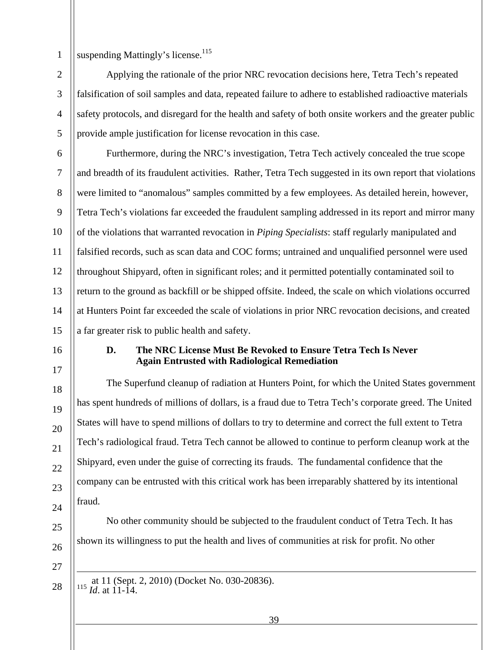2

3

4

5

suspending Mattingly's license.<sup>115</sup>

Applying the rationale of the prior NRC revocation decisions here, Tetra Tech's repeated falsification of soil samples and data, repeated failure to adhere to established radioactive materials safety protocols, and disregard for the health and safety of both onsite workers and the greater public provide ample justification for license revocation in this case.

6 7 8 9 10 11 12 13 14 15 Furthermore, during the NRC's investigation, Tetra Tech actively concealed the true scope and breadth of its fraudulent activities. Rather, Tetra Tech suggested in its own report that violations were limited to "anomalous" samples committed by a few employees. As detailed herein, however, Tetra Tech's violations far exceeded the fraudulent sampling addressed in its report and mirror many of the violations that warranted revocation in *Piping Specialists*: staff regularly manipulated and falsified records, such as scan data and COC forms; untrained and unqualified personnel were used throughout Shipyard, often in significant roles; and it permitted potentially contaminated soil to return to the ground as backfill or be shipped offsite. Indeed, the scale on which violations occurred at Hunters Point far exceeded the scale of violations in prior NRC revocation decisions, and created a far greater risk to public health and safety.

16

17

18

19

20

21

22

23

 $24$ 

25

26

# **D. The NRC License Must Be Revoked to Ensure Tetra Tech Is Never Again Entrusted with Radiological Remediation**

The Superfund cleanup of radiation at Hunters Point, for which the United States government has spent hundreds of millions of dollars, is a fraud due to Tetra Tech's corporate greed. The United States will have to spend millions of dollars to try to determine and correct the full extent to Tetra Tech's radiological fraud. Tetra Tech cannot be allowed to continue to perform cleanup work at the Shipyard, even under the guise of correcting its frauds. The fundamental confidence that the company can be entrusted with this critical work has been irreparably shattered by its intentional fraud.

No other community should be subjected to the fraudulent conduct of Tetra Tech. It has shown its willingness to put the health and lives of communities at risk for profit. No other

27 28

<u>.</u>

at 11 (Sept. 2, 2010) (Docket No. 030-20836). 115 *Id*. at 11-14.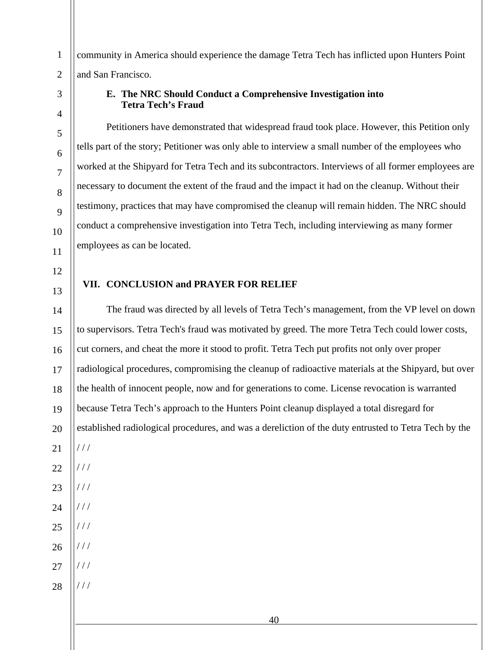community in America should experience the damage Tetra Tech has inflicted upon Hunters Point and San Francisco.

# **E. The NRC Should Conduct a Comprehensive Investigation into Tetra Tech's Fraud**

Petitioners have demonstrated that widespread fraud took place. However, this Petition only tells part of the story; Petitioner was only able to interview a small number of the employees who worked at the Shipyard for Tetra Tech and its subcontractors. Interviews of all former employees are necessary to document the extent of the fraud and the impact it had on the cleanup. Without their testimony, practices that may have compromised the cleanup will remain hidden. The NRC should conduct a comprehensive investigation into Tetra Tech, including interviewing as many former employees as can be located.

# **VII. CONCLUSION and PRAYER FOR RELIEF**

 The fraud was directed by all levels of Tetra Tech's management, from the VP level on down to supervisors. Tetra Tech's fraud was motivated by greed. The more Tetra Tech could lower costs, cut corners, and cheat the more it stood to profit. Tetra Tech put profits not only over proper radiological procedures, compromising the cleanup of radioactive materials at the Shipyard, but over the health of innocent people, now and for generations to come. License revocation is warranted because Tetra Tech's approach to the Hunters Point cleanup displayed a total disregard for established radiological procedures, and was a dereliction of the duty entrusted to Tetra Tech by the / / / / / / / / /  $1/1$ / / / / / / / / / / / /